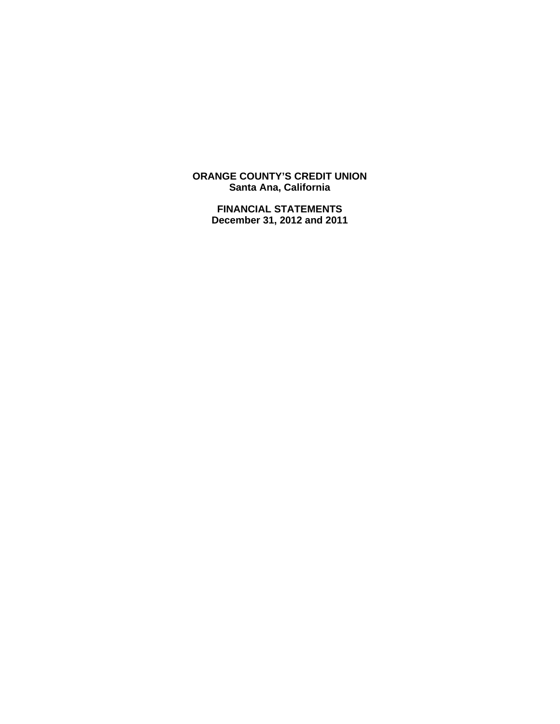**ORANGE COUNTY'S CREDIT UNION Santa Ana, California** 

> **FINANCIAL STATEMENTS December 31, 2012 and 2011**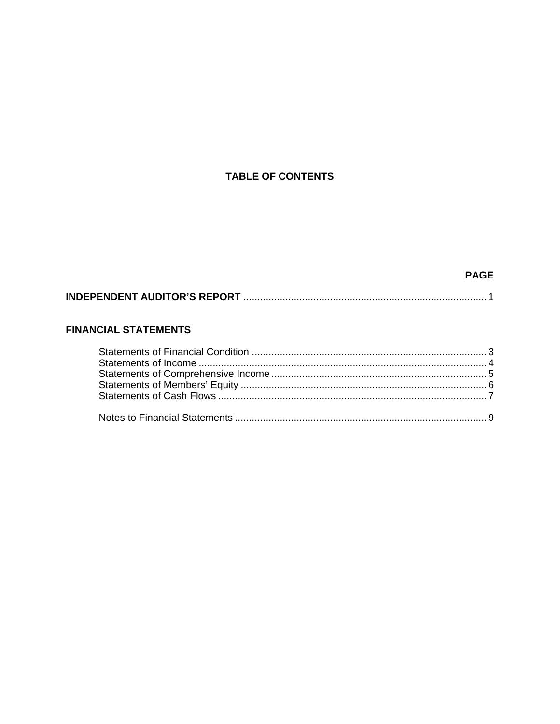## **TABLE OF CONTENTS**

## **PAGE**

|--|--|--|

## **FINANCIAL STATEMENTS**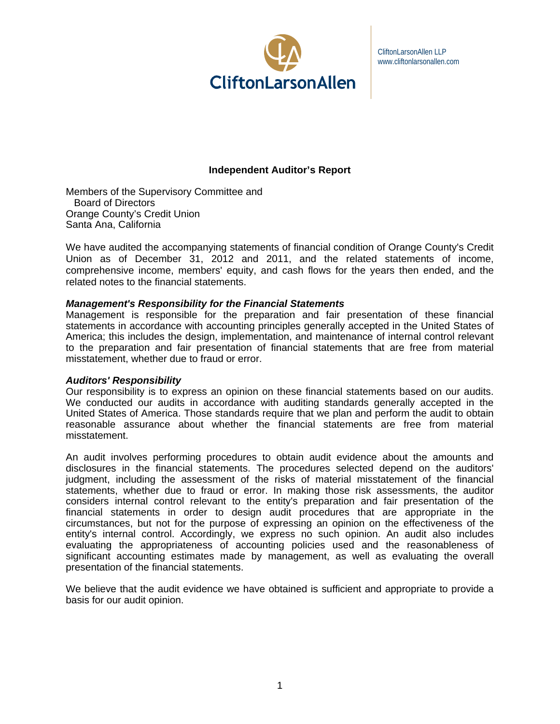

CliftonLarsonAllen LLP www.cliftonlarsonallen.com

## **Independent Auditor's Report**

Members of the Supervisory Committee and Board of Directors Orange County's Credit Union Santa Ana, California

We have audited the accompanying statements of financial condition of Orange County's Credit Union as of December 31, 2012 and 2011, and the related statements of income, comprehensive income, members' equity, and cash flows for the years then ended, and the related notes to the financial statements.

#### *Management's Responsibility for the Financial Statements*

Management is responsible for the preparation and fair presentation of these financial statements in accordance with accounting principles generally accepted in the United States of America; this includes the design, implementation, and maintenance of internal control relevant to the preparation and fair presentation of financial statements that are free from material misstatement, whether due to fraud or error.

#### *Auditors' Responsibility*

Our responsibility is to express an opinion on these financial statements based on our audits. We conducted our audits in accordance with auditing standards generally accepted in the United States of America. Those standards require that we plan and perform the audit to obtain reasonable assurance about whether the financial statements are free from material misstatement.

An audit involves performing procedures to obtain audit evidence about the amounts and disclosures in the financial statements. The procedures selected depend on the auditors' judgment, including the assessment of the risks of material misstatement of the financial statements, whether due to fraud or error. In making those risk assessments, the auditor considers internal control relevant to the entity's preparation and fair presentation of the financial statements in order to design audit procedures that are appropriate in the circumstances, but not for the purpose of expressing an opinion on the effectiveness of the entity's internal control. Accordingly, we express no such opinion. An audit also includes evaluating the appropriateness of accounting policies used and the reasonableness of significant accounting estimates made by management, as well as evaluating the overall presentation of the financial statements.

We believe that the audit evidence we have obtained is sufficient and appropriate to provide a basis for our audit opinion.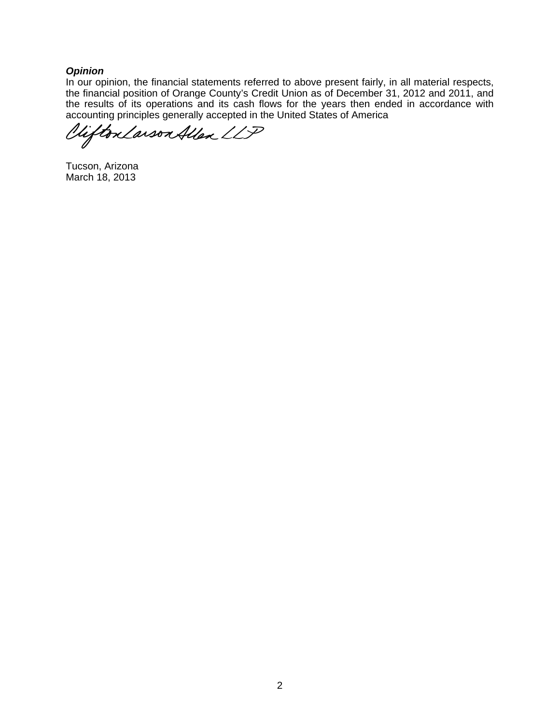## *Opinion*

In our opinion, the financial statements referred to above present fairly, in all material respects, the financial position of Orange County's Credit Union as of December 31, 2012 and 2011, and the results of its operations and its cash flows for the years then ended in accordance with accounting principles generally accepted in the United States of America

Vifton Larson Allen LLP

Tucson, Arizona March 18, 2013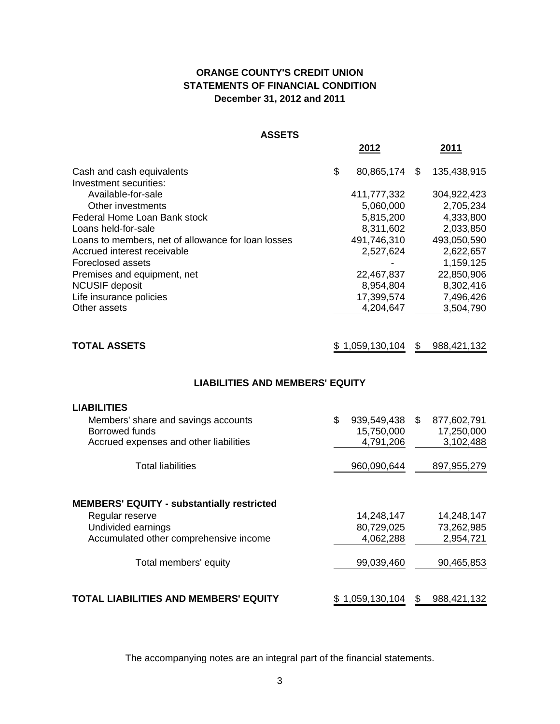## **ORANGE COUNTY'S CREDIT UNION STATEMENTS OF FINANCIAL CONDITION December 31, 2012 and 2011**

#### **ASSETS**

|                                                    | 2012             | 2011              |
|----------------------------------------------------|------------------|-------------------|
| Cash and cash equivalents                          | \$<br>80,865,174 | \$<br>135,438,915 |
| Investment securities:                             |                  |                   |
| Available-for-sale                                 | 411,777,332      | 304,922,423       |
| Other investments                                  | 5,060,000        | 2,705,234         |
| Federal Home Loan Bank stock                       | 5,815,200        | 4,333,800         |
| Loans held-for-sale                                | 8,311,602        | 2,033,850         |
| Loans to members, net of allowance for loan losses | 491,746,310      | 493,050,590       |
| Accrued interest receivable                        | 2,527,624        | 2,622,657         |
| Foreclosed assets                                  |                  | 1,159,125         |
| Premises and equipment, net                        | 22,467,837       | 22,850,906        |
| <b>NCUSIF deposit</b>                              | 8,954,804        | 8,302,416         |
| Life insurance policies                            | 17,399,574       | 7,496,426         |
| Other assets                                       | 4,204,647        | 3,504,790         |
|                                                    |                  |                   |
|                                                    |                  |                   |

| \$1,059,130,104 \$988,421,132<br><b>TOTAL ASSETS</b> |  |
|------------------------------------------------------|--|
|------------------------------------------------------|--|

## **LIABILITIES AND MEMBERS' EQUITY**

| <b>LIABILITIES</b>                                                                              |                                              |    |                                        |
|-------------------------------------------------------------------------------------------------|----------------------------------------------|----|----------------------------------------|
| Members' share and savings accounts<br>Borrowed funds<br>Accrued expenses and other liabilities | \$<br>939,549,438<br>15,750,000<br>4,791,206 | S. | 877,602,791<br>17,250,000<br>3,102,488 |
| <b>Total liabilities</b>                                                                        | 960,090,644                                  |    | 897, 955, 279                          |
| <b>MEMBERS' EQUITY - substantially restricted</b>                                               |                                              |    |                                        |
| Regular reserve                                                                                 | 14,248,147                                   |    | 14,248,147                             |
| Undivided earnings                                                                              | 80,729,025                                   |    | 73,262,985                             |
| Accumulated other comprehensive income                                                          | 4,062,288                                    |    | 2,954,721                              |
| Total members' equity                                                                           | 99,039,460                                   |    | 90,465,853                             |
| <b>TOTAL LIABILITIES AND MEMBERS' EQUITY</b>                                                    | \$1,059,130,104                              | \$ | 988,421,132                            |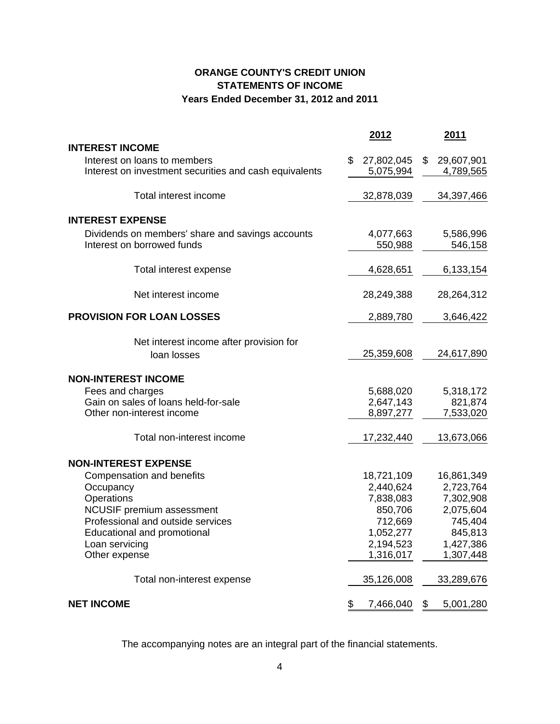## **ORANGE COUNTY'S CREDIT UNION STATEMENTS OF INCOME Years Ended December 31, 2012 and 2011**

|                                                          | 2012             | 2011                    |
|----------------------------------------------------------|------------------|-------------------------|
| <b>INTEREST INCOME</b>                                   |                  |                         |
| Interest on loans to members                             | \$<br>27,802,045 | \$<br>29,607,901        |
| Interest on investment securities and cash equivalents   | 5,075,994        | <u>4,789,565</u>        |
| Total interest income                                    | 32,878,039       | 34,397,466              |
| <b>INTEREST EXPENSE</b>                                  |                  |                         |
| Dividends on members' share and savings accounts         | 4,077,663        | 5,586,996               |
| Interest on borrowed funds                               | 550,988          | 546,158                 |
| Total interest expense                                   | 4,628,651        | 6,133,154               |
|                                                          |                  |                         |
| Net interest income                                      | 28,249,388       | 28,264,312              |
| <b>PROVISION FOR LOAN LOSSES</b>                         | 2,889,780        | 3,646,422               |
| Net interest income after provision for                  |                  |                         |
| loan losses                                              | 25,359,608       | 24,617,890              |
| <b>NON-INTEREST INCOME</b>                               |                  |                         |
| Fees and charges                                         | 5,688,020        | 5,318,172               |
| Gain on sales of loans held-for-sale                     | 2,647,143        | 821,874                 |
| Other non-interest income                                | 8,897,277        | 7,533,020               |
| Total non-interest income                                | 17,232,440       | 13,673,066              |
|                                                          |                  |                         |
| <b>NON-INTEREST EXPENSE</b><br>Compensation and benefits | 18,721,109       |                         |
| Occupancy                                                | 2,440,624        | 16,861,349<br>2,723,764 |
| Operations                                               | 7,838,083        | 7,302,908               |
| <b>NCUSIF</b> premium assessment                         | 850,706          | 2,075,604               |
| Professional and outside services                        | 712,669          | 745,404                 |
| <b>Educational and promotional</b>                       | 1,052,277        | 845,813                 |
| Loan servicing                                           | 2,194,523        | 1,427,386               |
| Other expense                                            | 1,316,017        | 1,307,448               |
| Total non-interest expense                               | 35,126,008       | 33,289,676              |
| <b>NET INCOME</b>                                        | \$<br>7,466,040  | \$<br>5,001,280         |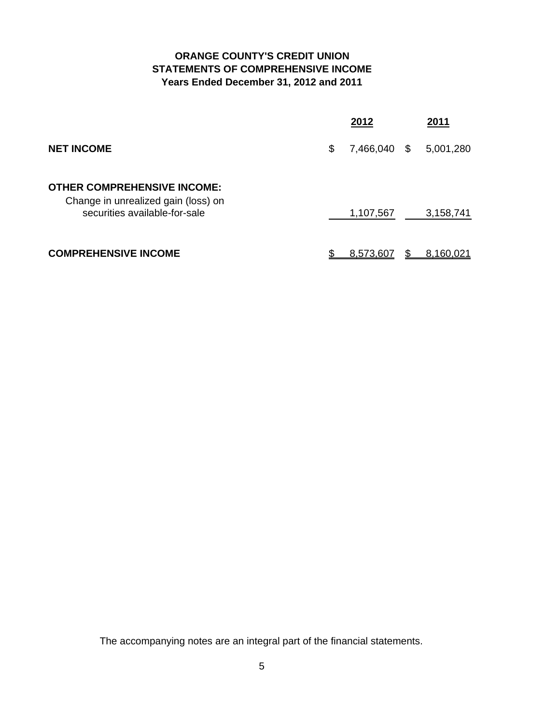## **ORANGE COUNTY'S CREDIT UNION STATEMENTS OF COMPREHENSIVE INCOME Years Ended December 31, 2012 and 2011**

|                                                                                                            | 2012            |      | 2011             |
|------------------------------------------------------------------------------------------------------------|-----------------|------|------------------|
| <b>NET INCOME</b>                                                                                          | \$<br>7,466,040 | - \$ | 5,001,280        |
| <b>OTHER COMPREHENSIVE INCOME:</b><br>Change in unrealized gain (loss) on<br>securities available-for-sale | 1,107,567       |      | 3,158,741        |
| <b>COMPREHENSIVE INCOME</b>                                                                                | 8,573,607       |      | <u>8,160,021</u> |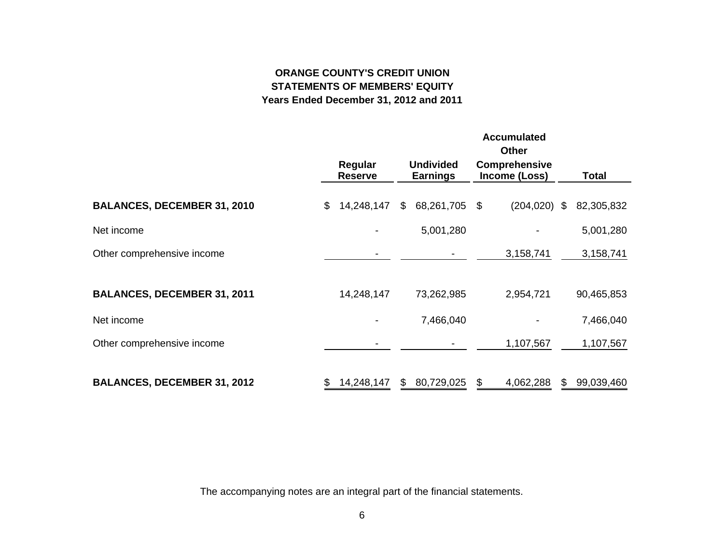# **ORANGE COUNTY'S CREDIT UNIONSTATEMENTS OF MEMBERS' EQUITYYears Ended December 31, 2012 and 2011**

|                                    |                           |                                     | <b>Accumulated</b><br><b>Other</b>    |     |            |
|------------------------------------|---------------------------|-------------------------------------|---------------------------------------|-----|------------|
|                                    | Regular<br><b>Reserve</b> | <b>Undivided</b><br><b>Earnings</b> | <b>Comprehensive</b><br>Income (Loss) |     | Total      |
| <b>BALANCES, DECEMBER 31, 2010</b> | \$<br>14,248,147          | \$<br>68,261,705                    | \$<br>$(204, 020)$ \$                 |     | 82,305,832 |
| Net income                         |                           | 5,001,280                           |                                       |     | 5,001,280  |
| Other comprehensive income         |                           |                                     | 3,158,741                             |     | 3,158,741  |
| <b>BALANCES, DECEMBER 31, 2011</b> | 14,248,147                | 73,262,985                          | 2,954,721                             |     | 90,465,853 |
| Net income                         |                           | 7,466,040                           |                                       |     | 7,466,040  |
| Other comprehensive income         |                           |                                     | 1,107,567                             |     | 1,107,567  |
| <b>BALANCES, DECEMBER 31, 2012</b> | \$<br>14,248,147          | \$<br>80,729,025                    | \$<br>4,062,288                       | \$. | 99,039,460 |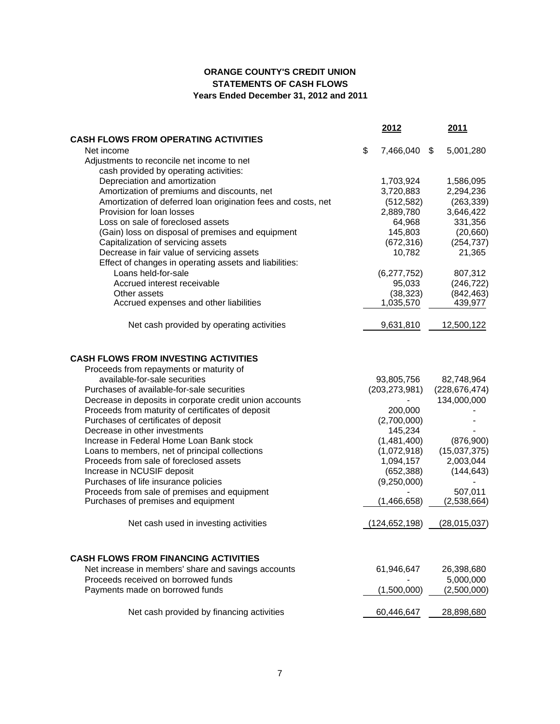## **ORANGE COUNTY'S CREDIT UNION STATEMENTS OF CASH FLOWS Years Ended December 31, 2012 and 2011**

|                                                               | 2012            | <b>2011</b>     |
|---------------------------------------------------------------|-----------------|-----------------|
| <b>CASH FLOWS FROM OPERATING ACTIVITIES</b>                   |                 |                 |
| Net income                                                    | \$<br>7,466,040 | \$<br>5,001,280 |
| Adjustments to reconcile net income to net                    |                 |                 |
| cash provided by operating activities:                        |                 |                 |
| Depreciation and amortization                                 | 1,703,924       | 1,586,095       |
| Amortization of premiums and discounts, net                   | 3,720,883       | 2,294,236       |
| Amortization of deferred loan origination fees and costs, net | (512, 582)      | (263, 339)      |
| Provision for loan losses                                     | 2,889,780       | 3,646,422       |
| Loss on sale of foreclosed assets                             | 64,968          | 331,356         |
| (Gain) loss on disposal of premises and equipment             | 145,803         | (20, 660)       |
| Capitalization of servicing assets                            | (672, 316)      | (254, 737)      |
| Decrease in fair value of servicing assets                    | 10,782          | 21,365          |
| Effect of changes in operating assets and liabilities:        |                 |                 |
| Loans held-for-sale                                           | (6,277,752)     | 807,312         |
| Accrued interest receivable                                   | 95,033          | (246, 722)      |
| Other assets                                                  | (38, 323)       | (842, 463)      |
| Accrued expenses and other liabilities                        | 1,035,570       | 439,977         |
| Net cash provided by operating activities                     | 9,631,810       | 12,500,122      |
|                                                               |                 |                 |
| <b>CASH FLOWS FROM INVESTING ACTIVITIES</b>                   |                 |                 |
| Proceeds from repayments or maturity of                       |                 |                 |
| available-for-sale securities                                 | 93,805,756      | 82,748,964      |
| Purchases of available-for-sale securities                    | (203, 273, 981) | (228, 676, 474) |
| Decrease in deposits in corporate credit union accounts       |                 | 134,000,000     |
| Proceeds from maturity of certificates of deposit             | 200,000         |                 |
| Purchases of certificates of deposit                          | (2,700,000)     |                 |
| Decrease in other investments                                 | 145,234         |                 |
| Increase in Federal Home Loan Bank stock                      | (1,481,400)     | (876,900)       |
| Loans to members, net of principal collections                | (1,072,918)     | (15,037,375)    |
| Proceeds from sale of foreclosed assets                       | 1,094,157       | 2,003,044       |
| Increase in NCUSIF deposit                                    | (652, 388)      | (144, 643)      |
| Purchases of life insurance policies                          | (9,250,000)     |                 |
| Proceeds from sale of premises and equipment                  |                 | 507,011         |
| Purchases of premises and equipment                           | (1,466,658)     | (2,538,664)     |
| Net cash used in investing activities                         | (124, 652, 198) | (28,015,037)    |
|                                                               |                 |                 |
| <b>CASH FLOWS FROM FINANCING ACTIVITIES</b>                   |                 |                 |
| Net increase in members' share and savings accounts           | 61,946,647      | 26,398,680      |
| Proceeds received on borrowed funds                           |                 | 5,000,000       |
| Payments made on borrowed funds                               | (1,500,000)     | (2,500,000)     |
| Net cash provided by financing activities                     | 60,446,647      | 28,898,680      |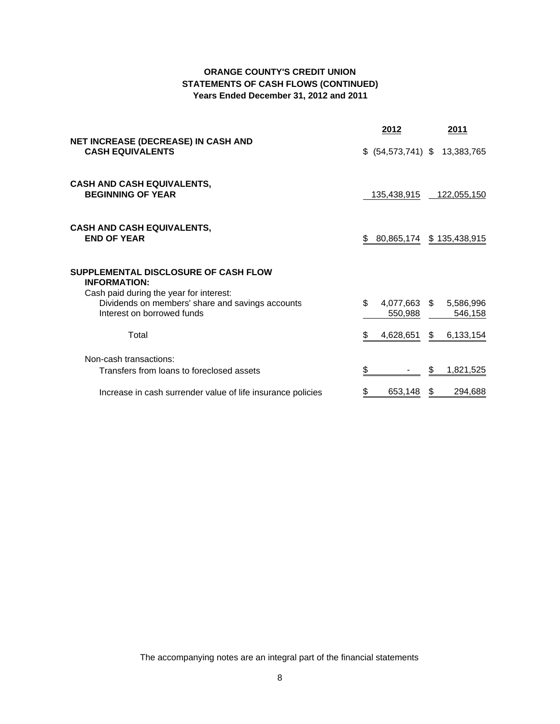## **ORANGE COUNTY'S CREDIT UNION STATEMENTS OF CASH FLOWS (CONTINUED) Years Ended December 31, 2012 and 2011**

|                                                                                                                           |     | <u> 2012</u>                    |    | 2011                 |
|---------------------------------------------------------------------------------------------------------------------------|-----|---------------------------------|----|----------------------|
| <b>NET INCREASE (DECREASE) IN CASH AND</b><br><b>CASH EQUIVALENTS</b>                                                     |     | $$$ (54,573,741) $$$ 13,383,765 |    |                      |
| <b>CASH AND CASH EQUIVALENTS,</b><br><b>BEGINNING OF YEAR</b>                                                             |     | 135,438,915                     |    | <u>122,055,150</u>   |
| <b>CASH AND CASH EQUIVALENTS,</b><br><b>END OF YEAR</b>                                                                   | \$  | 80,865,174                      |    | \$135,438,915        |
| SUPPLEMENTAL DISCLOSURE OF CASH FLOW<br><b>INFORMATION:</b>                                                               |     |                                 |    |                      |
| Cash paid during the year for interest:<br>Dividends on members' share and savings accounts<br>Interest on borrowed funds | \$. | 4,077,663 \$<br>550,988         |    | 5,586,996<br>546,158 |
| Total                                                                                                                     | \$  | 4,628,651                       | \$ | 6,133,154            |
| Non-cash transactions:<br>Transfers from loans to foreclosed assets                                                       | \$  |                                 | S  | 1,821,525            |
| Increase in cash surrender value of life insurance policies                                                               |     | 653,148                         | S  | 294,688              |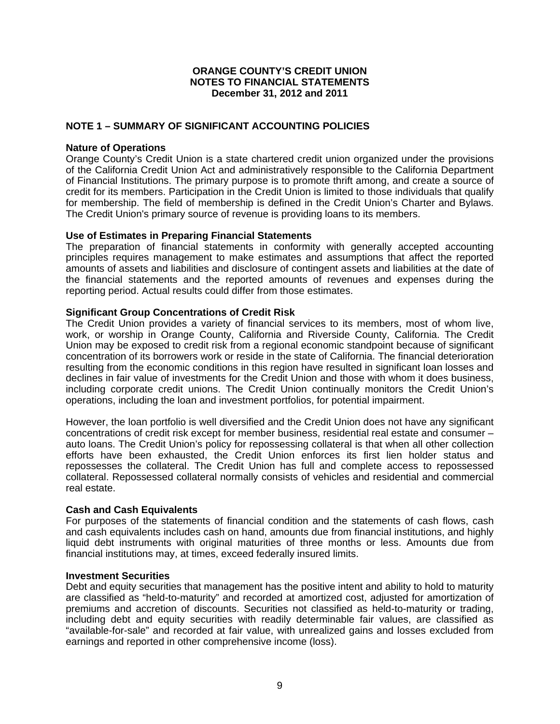## **NOTE 1 – SUMMARY OF SIGNIFICANT ACCOUNTING POLICIES**

#### **Nature of Operations**

Orange County's Credit Union is a state chartered credit union organized under the provisions of the California Credit Union Act and administratively responsible to the California Department of Financial Institutions. The primary purpose is to promote thrift among, and create a source of credit for its members. Participation in the Credit Union is limited to those individuals that qualify for membership. The field of membership is defined in the Credit Union's Charter and Bylaws. The Credit Union's primary source of revenue is providing loans to its members.

#### **Use of Estimates in Preparing Financial Statements**

The preparation of financial statements in conformity with generally accepted accounting principles requires management to make estimates and assumptions that affect the reported amounts of assets and liabilities and disclosure of contingent assets and liabilities at the date of the financial statements and the reported amounts of revenues and expenses during the reporting period. Actual results could differ from those estimates.

#### **Significant Group Concentrations of Credit Risk**

The Credit Union provides a variety of financial services to its members, most of whom live, work, or worship in Orange County, California and Riverside County, California. The Credit Union may be exposed to credit risk from a regional economic standpoint because of significant concentration of its borrowers work or reside in the state of California. The financial deterioration resulting from the economic conditions in this region have resulted in significant loan losses and declines in fair value of investments for the Credit Union and those with whom it does business, including corporate credit unions. The Credit Union continually monitors the Credit Union's operations, including the loan and investment portfolios, for potential impairment.

However, the loan portfolio is well diversified and the Credit Union does not have any significant concentrations of credit risk except for member business, residential real estate and consumer – auto loans. The Credit Union's policy for repossessing collateral is that when all other collection efforts have been exhausted, the Credit Union enforces its first lien holder status and repossesses the collateral. The Credit Union has full and complete access to repossessed collateral. Repossessed collateral normally consists of vehicles and residential and commercial real estate.

#### **Cash and Cash Equivalents**

For purposes of the statements of financial condition and the statements of cash flows, cash and cash equivalents includes cash on hand, amounts due from financial institutions, and highly liquid debt instruments with original maturities of three months or less. Amounts due from financial institutions may, at times, exceed federally insured limits.

#### **Investment Securities**

Debt and equity securities that management has the positive intent and ability to hold to maturity are classified as "held-to-maturity" and recorded at amortized cost, adjusted for amortization of premiums and accretion of discounts. Securities not classified as held-to-maturity or trading, including debt and equity securities with readily determinable fair values, are classified as "available-for-sale" and recorded at fair value, with unrealized gains and losses excluded from earnings and reported in other comprehensive income (loss).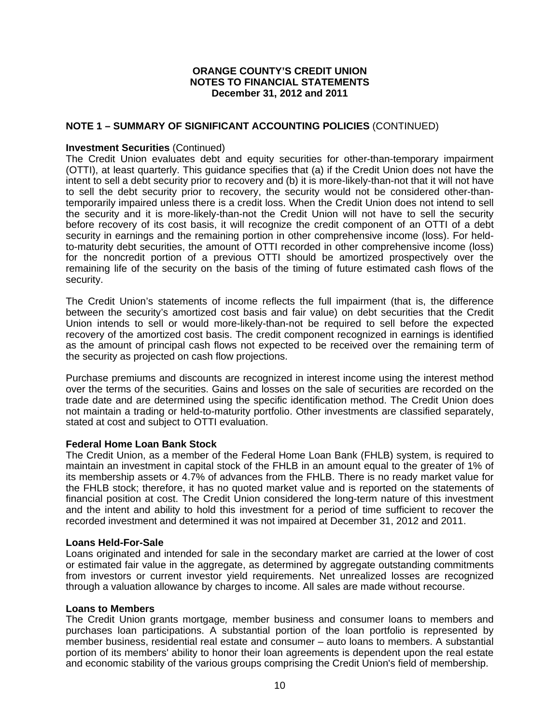### **NOTE 1 – SUMMARY OF SIGNIFICANT ACCOUNTING POLICIES** (CONTINUED)

### **Investment Securities** (Continued)

The Credit Union evaluates debt and equity securities for other-than-temporary impairment (OTTI), at least quarterly. This guidance specifies that (a) if the Credit Union does not have the intent to sell a debt security prior to recovery and (b) it is more-likely-than-not that it will not have to sell the debt security prior to recovery, the security would not be considered other-thantemporarily impaired unless there is a credit loss. When the Credit Union does not intend to sell the security and it is more-likely-than-not the Credit Union will not have to sell the security before recovery of its cost basis, it will recognize the credit component of an OTTI of a debt security in earnings and the remaining portion in other comprehensive income (loss). For heldto-maturity debt securities, the amount of OTTI recorded in other comprehensive income (loss) for the noncredit portion of a previous OTTI should be amortized prospectively over the remaining life of the security on the basis of the timing of future estimated cash flows of the security.

The Credit Union's statements of income reflects the full impairment (that is, the difference between the security's amortized cost basis and fair value) on debt securities that the Credit Union intends to sell or would more-likely-than-not be required to sell before the expected recovery of the amortized cost basis. The credit component recognized in earnings is identified as the amount of principal cash flows not expected to be received over the remaining term of the security as projected on cash flow projections.

Purchase premiums and discounts are recognized in interest income using the interest method over the terms of the securities. Gains and losses on the sale of securities are recorded on the trade date and are determined using the specific identification method. The Credit Union does not maintain a trading or held-to-maturity portfolio. Other investments are classified separately, stated at cost and subject to OTTI evaluation.

#### **Federal Home Loan Bank Stock**

The Credit Union, as a member of the Federal Home Loan Bank (FHLB) system, is required to maintain an investment in capital stock of the FHLB in an amount equal to the greater of 1% of its membership assets or 4.7% of advances from the FHLB. There is no ready market value for the FHLB stock; therefore, it has no quoted market value and is reported on the statements of financial position at cost. The Credit Union considered the long-term nature of this investment and the intent and ability to hold this investment for a period of time sufficient to recover the recorded investment and determined it was not impaired at December 31, 2012 and 2011.

#### **Loans Held-For-Sale**

Loans originated and intended for sale in the secondary market are carried at the lower of cost or estimated fair value in the aggregate, as determined by aggregate outstanding commitments from investors or current investor yield requirements. Net unrealized losses are recognized through a valuation allowance by charges to income. All sales are made without recourse.

#### **Loans to Members**

The Credit Union grants mortgage*,* member business and consumer loans to members and purchases loan participations. A substantial portion of the loan portfolio is represented by member business, residential real estate and consumer – auto loans to members. A substantial portion of its members' ability to honor their loan agreements is dependent upon the real estate and economic stability of the various groups comprising the Credit Union's field of membership.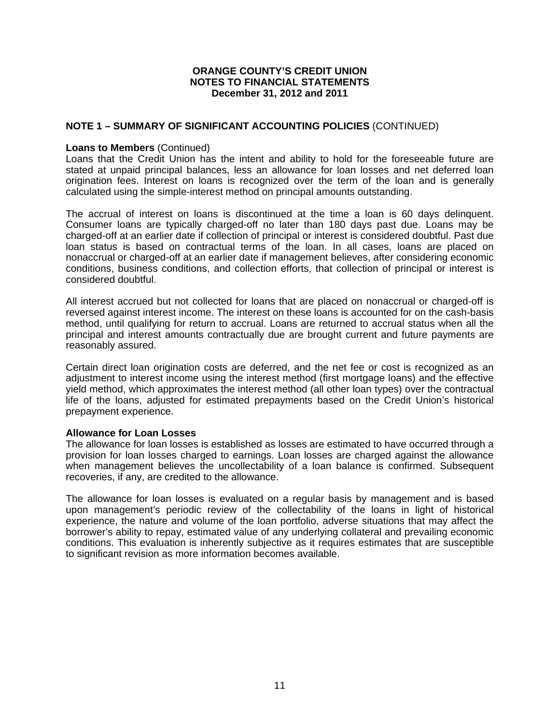#### **NOTE 1 – SUMMARY OF SIGNIFICANT ACCOUNTING POLICIES** (CONTINUED)

#### **Loans to Members** (Continued)

Loans that the Credit Union has the intent and ability to hold for the foreseeable future are stated at unpaid principal balances, less an allowance for loan losses and net deferred loan origination fees. Interest on loans is recognized over the term of the loan and is generally calculated using the simple-interest method on principal amounts outstanding.

The accrual of interest on loans is discontinued at the time a loan is 60 days delinquent. Consumer loans are typically charged-off no later than 180 days past due. Loans may be charged-off at an earlier date if collection of principal or interest is considered doubtful. Past due loan status is based on contractual terms of the loan. In all cases, loans are placed on nonaccrual or charged-off at an earlier date if management believes, after considering economic conditions, business conditions, and collection efforts, that collection of principal or interest is considered doubtful.

All interest accrued but not collected for loans that are placed on nonaccrual or charged-off is reversed against interest income. The interest on these loans is accounted for on the cash-basis method, until qualifying for return to accrual. Loans are returned to accrual status when all the principal and interest amounts contractually due are brought current and future payments are reasonably assured.

Certain direct loan origination costs are deferred, and the net fee or cost is recognized as an adjustment to interest income using the interest method (first mortgage loans) and the effective yield method, which approximates the interest method (all other loan types) over the contractual life of the loans, adjusted for estimated prepayments based on the Credit Union's historical prepayment experience.

#### **Allowance for Loan Losses**

The allowance for loan losses is established as losses are estimated to have occurred through a provision for loan losses charged to earnings. Loan losses are charged against the allowance when management believes the uncollectability of a loan balance is confirmed. Subsequent recoveries, if any, are credited to the allowance.

The allowance for loan losses is evaluated on a regular basis by management and is based upon management's periodic review of the collectability of the loans in light of historical experience, the nature and volume of the loan portfolio, adverse situations that may affect the borrower's ability to repay, estimated value of any underlying collateral and prevailing economic conditions. This evaluation is inherently subjective as it requires estimates that are susceptible to significant revision as more information becomes available.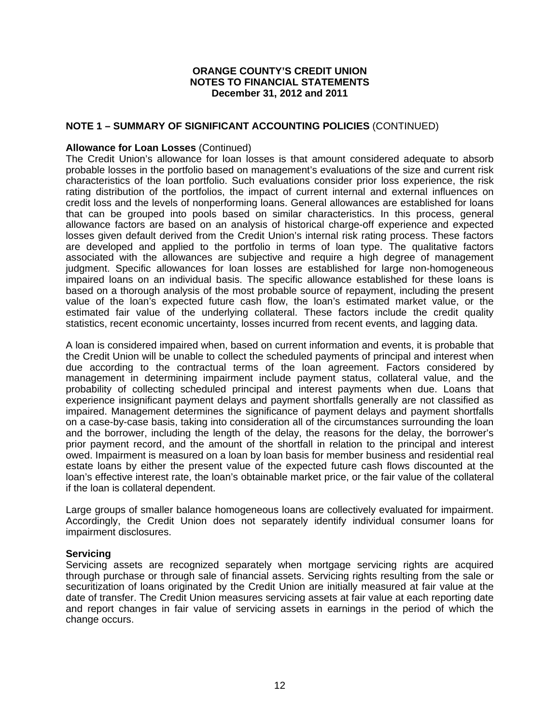## **NOTE 1 – SUMMARY OF SIGNIFICANT ACCOUNTING POLICIES** (CONTINUED)

#### **Allowance for Loan Losses** (Continued)

The Credit Union's allowance for loan losses is that amount considered adequate to absorb probable losses in the portfolio based on management's evaluations of the size and current risk characteristics of the loan portfolio. Such evaluations consider prior loss experience, the risk rating distribution of the portfolios, the impact of current internal and external influences on credit loss and the levels of nonperforming loans. General allowances are established for loans that can be grouped into pools based on similar characteristics. In this process, general allowance factors are based on an analysis of historical charge-off experience and expected losses given default derived from the Credit Union's internal risk rating process. These factors are developed and applied to the portfolio in terms of loan type. The qualitative factors associated with the allowances are subjective and require a high degree of management judgment. Specific allowances for loan losses are established for large non-homogeneous impaired loans on an individual basis. The specific allowance established for these loans is based on a thorough analysis of the most probable source of repayment, including the present value of the loan's expected future cash flow, the loan's estimated market value, or the estimated fair value of the underlying collateral. These factors include the credit quality statistics, recent economic uncertainty, losses incurred from recent events, and lagging data.

A loan is considered impaired when, based on current information and events, it is probable that the Credit Union will be unable to collect the scheduled payments of principal and interest when due according to the contractual terms of the loan agreement. Factors considered by management in determining impairment include payment status, collateral value, and the probability of collecting scheduled principal and interest payments when due. Loans that experience insignificant payment delays and payment shortfalls generally are not classified as impaired. Management determines the significance of payment delays and payment shortfalls on a case-by-case basis, taking into consideration all of the circumstances surrounding the loan and the borrower, including the length of the delay, the reasons for the delay, the borrower's prior payment record, and the amount of the shortfall in relation to the principal and interest owed. Impairment is measured on a loan by loan basis for member business and residential real estate loans by either the present value of the expected future cash flows discounted at the loan's effective interest rate, the loan's obtainable market price, or the fair value of the collateral if the loan is collateral dependent.

Large groups of smaller balance homogeneous loans are collectively evaluated for impairment. Accordingly, the Credit Union does not separately identify individual consumer loans for impairment disclosures.

#### **Servicing**

Servicing assets are recognized separately when mortgage servicing rights are acquired through purchase or through sale of financial assets. Servicing rights resulting from the sale or securitization of loans originated by the Credit Union are initially measured at fair value at the date of transfer. The Credit Union measures servicing assets at fair value at each reporting date and report changes in fair value of servicing assets in earnings in the period of which the change occurs.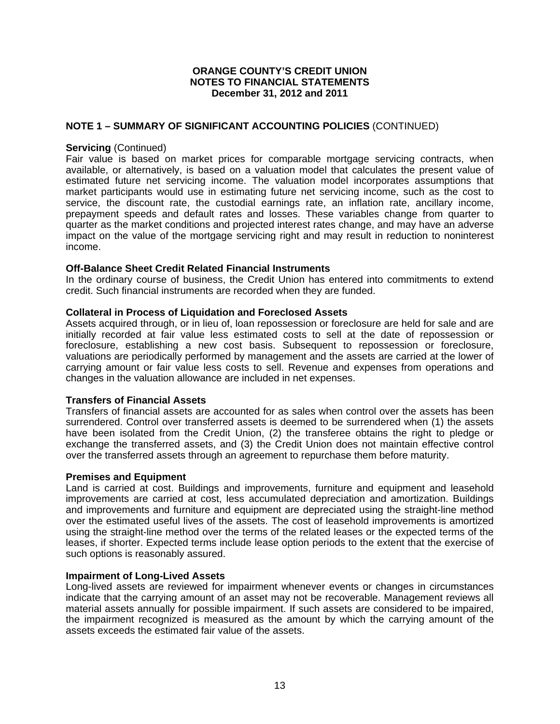### **NOTE 1 – SUMMARY OF SIGNIFICANT ACCOUNTING POLICIES** (CONTINUED)

#### **Servicing** (Continued)

Fair value is based on market prices for comparable mortgage servicing contracts, when available, or alternatively, is based on a valuation model that calculates the present value of estimated future net servicing income. The valuation model incorporates assumptions that market participants would use in estimating future net servicing income, such as the cost to service, the discount rate, the custodial earnings rate, an inflation rate, ancillary income, prepayment speeds and default rates and losses. These variables change from quarter to quarter as the market conditions and projected interest rates change, and may have an adverse impact on the value of the mortgage servicing right and may result in reduction to noninterest income.

#### **Off-Balance Sheet Credit Related Financial Instruments**

In the ordinary course of business, the Credit Union has entered into commitments to extend credit. Such financial instruments are recorded when they are funded.

#### **Collateral in Process of Liquidation and Foreclosed Assets**

Assets acquired through, or in lieu of, loan repossession or foreclosure are held for sale and are initially recorded at fair value less estimated costs to sell at the date of repossession or foreclosure, establishing a new cost basis. Subsequent to repossession or foreclosure, valuations are periodically performed by management and the assets are carried at the lower of carrying amount or fair value less costs to sell. Revenue and expenses from operations and changes in the valuation allowance are included in net expenses.

#### **Transfers of Financial Assets**

Transfers of financial assets are accounted for as sales when control over the assets has been surrendered. Control over transferred assets is deemed to be surrendered when (1) the assets have been isolated from the Credit Union, (2) the transferee obtains the right to pledge or exchange the transferred assets, and (3) the Credit Union does not maintain effective control over the transferred assets through an agreement to repurchase them before maturity.

#### **Premises and Equipment**

Land is carried at cost. Buildings and improvements, furniture and equipment and leasehold improvements are carried at cost, less accumulated depreciation and amortization. Buildings and improvements and furniture and equipment are depreciated using the straight-line method over the estimated useful lives of the assets. The cost of leasehold improvements is amortized using the straight-line method over the terms of the related leases or the expected terms of the leases, if shorter. Expected terms include lease option periods to the extent that the exercise of such options is reasonably assured.

#### **Impairment of Long-Lived Assets**

Long-lived assets are reviewed for impairment whenever events or changes in circumstances indicate that the carrying amount of an asset may not be recoverable. Management reviews all material assets annually for possible impairment. If such assets are considered to be impaired, the impairment recognized is measured as the amount by which the carrying amount of the assets exceeds the estimated fair value of the assets.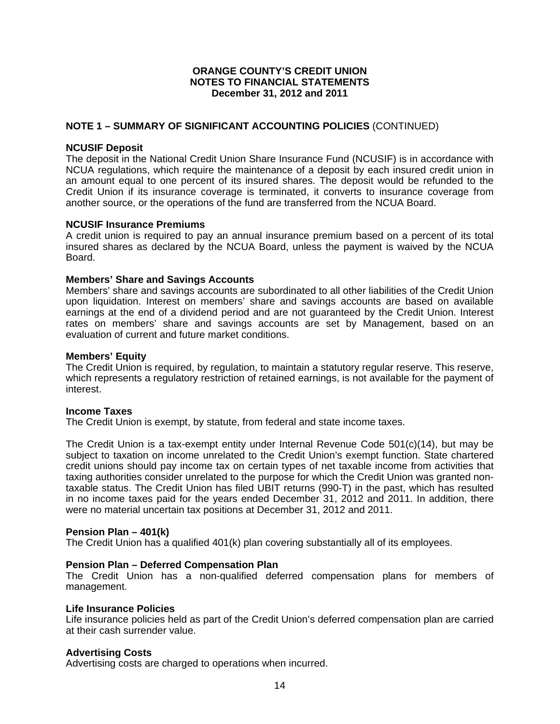## **NOTE 1 – SUMMARY OF SIGNIFICANT ACCOUNTING POLICIES** (CONTINUED)

#### **NCUSIF Deposit**

The deposit in the National Credit Union Share Insurance Fund (NCUSIF) is in accordance with NCUA regulations, which require the maintenance of a deposit by each insured credit union in an amount equal to one percent of its insured shares. The deposit would be refunded to the Credit Union if its insurance coverage is terminated, it converts to insurance coverage from another source, or the operations of the fund are transferred from the NCUA Board.

#### **NCUSIF Insurance Premiums**

A credit union is required to pay an annual insurance premium based on a percent of its total insured shares as declared by the NCUA Board, unless the payment is waived by the NCUA Board.

#### **Members' Share and Savings Accounts**

Members' share and savings accounts are subordinated to all other liabilities of the Credit Union upon liquidation. Interest on members' share and savings accounts are based on available earnings at the end of a dividend period and are not guaranteed by the Credit Union. Interest rates on members' share and savings accounts are set by Management, based on an evaluation of current and future market conditions.

#### **Members' Equity**

The Credit Union is required, by regulation, to maintain a statutory regular reserve. This reserve, which represents a regulatory restriction of retained earnings, is not available for the payment of interest.

#### **Income Taxes**

The Credit Union is exempt, by statute, from federal and state income taxes.

The Credit Union is a tax-exempt entity under Internal Revenue Code 501(c)(14), but may be subject to taxation on income unrelated to the Credit Union's exempt function. State chartered credit unions should pay income tax on certain types of net taxable income from activities that taxing authorities consider unrelated to the purpose for which the Credit Union was granted nontaxable status. The Credit Union has filed UBIT returns (990-T) in the past, which has resulted in no income taxes paid for the years ended December 31, 2012 and 2011. In addition, there were no material uncertain tax positions at December 31, 2012 and 2011.

#### **Pension Plan – 401(k)**

The Credit Union has a qualified 401(k) plan covering substantially all of its employees.

#### **Pension Plan – Deferred Compensation Plan**

The Credit Union has a non-qualified deferred compensation plans for members of management.

#### **Life Insurance Policies**

Life insurance policies held as part of the Credit Union's deferred compensation plan are carried at their cash surrender value.

#### **Advertising Costs**

Advertising costs are charged to operations when incurred.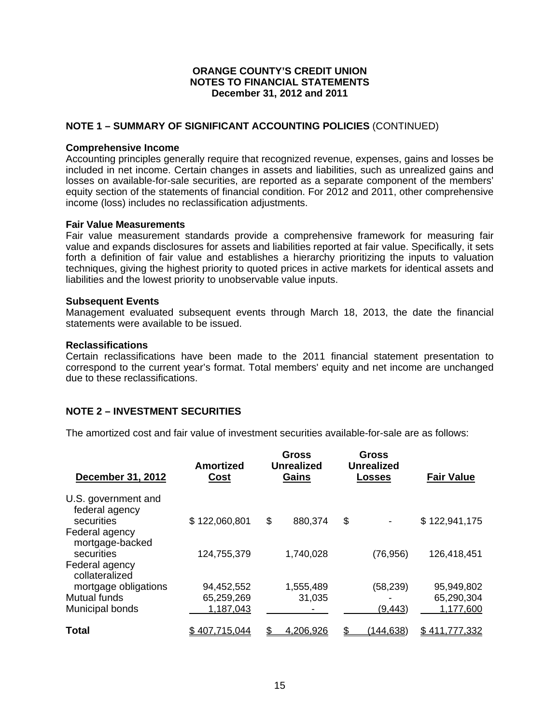## **NOTE 1 – SUMMARY OF SIGNIFICANT ACCOUNTING POLICIES** (CONTINUED)

#### **Comprehensive Income**

Accounting principles generally require that recognized revenue, expenses, gains and losses be included in net income. Certain changes in assets and liabilities, such as unrealized gains and losses on available-for-sale securities, are reported as a separate component of the members' equity section of the statements of financial condition. For 2012 and 2011, other comprehensive income (loss) includes no reclassification adjustments.

#### **Fair Value Measurements**

Fair value measurement standards provide a comprehensive framework for measuring fair value and expands disclosures for assets and liabilities reported at fair value. Specifically, it sets forth a definition of fair value and establishes a hierarchy prioritizing the inputs to valuation techniques, giving the highest priority to quoted prices in active markets for identical assets and liabilities and the lowest priority to unobservable value inputs.

#### **Subsequent Events**

Management evaluated subsequent events through March 18, 2013, the date the financial statements were available to be issued.

#### **Reclassifications**

Certain reclassifications have been made to the 2011 financial statement presentation to correspond to the current year's format. Total members' equity and net income are unchanged due to these reclassifications.

#### **NOTE 2 – INVESTMENT SECURITIES**

The amortized cost and fair value of investment securities available-for-sale are as follows:

| December 31, 2012                                   | Amortized<br><u>Cost</u> | <b>Gross</b><br><b>Unrealized</b><br>Gains |                  | <b>Gross</b><br><b>Unrealized</b><br><u>Losses</u> |           | <b>Fair Value</b> |
|-----------------------------------------------------|--------------------------|--------------------------------------------|------------------|----------------------------------------------------|-----------|-------------------|
| U.S. government and<br>federal agency<br>securities | \$122,060,801            | \$                                         | 880,374          | \$                                                 |           | \$122,941,175     |
| Federal agency<br>mortgage-backed<br>securities     | 124,755,379              |                                            | 1,740,028        |                                                    | (76, 956) | 126,418,451       |
| Federal agency<br>collateralized                    |                          |                                            |                  |                                                    |           |                   |
| mortgage obligations                                | 94,452,552               |                                            | 1,555,489        |                                                    | (58, 239) | 95,949,802        |
| <b>Mutual funds</b>                                 | 65,259,269               |                                            | 31,035           |                                                    |           | 65,290,304        |
| Municipal bonds                                     | 1,187,043                |                                            |                  |                                                    | (9, 443)  | 1,177,600         |
| Total                                               | 407.715.044              | S.                                         | <u>4.206.926</u> |                                                    | 144.638   | 777.332<br>Տ 411  |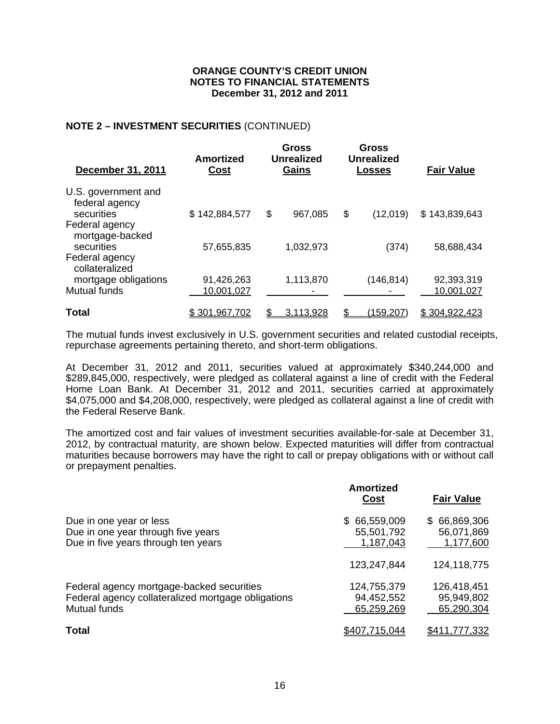## **NOTE 2 – INVESTMENT SECURITIES** (CONTINUED)

| <b>December 31, 2011</b>              | <b>Amortized</b><br><u>Cost</u> | <b>Gross</b><br><b>Unrealized</b><br>Gains |    | <b>Gross</b><br><b>Unrealized</b><br>Losses | <b>Fair Value</b> |
|---------------------------------------|---------------------------------|--------------------------------------------|----|---------------------------------------------|-------------------|
| U.S. government and<br>federal agency |                                 |                                            |    |                                             |                   |
| securities<br>Federal agency          | \$142,884,577                   | \$<br>967,085                              | \$ | (12,019)                                    | \$143,839,643     |
| mortgage-backed<br>securities         | 57,655,835                      | 1,032,973                                  |    | (374)                                       | 58.688,434        |
| Federal agency<br>collateralized      |                                 |                                            |    |                                             |                   |
| mortgage obligations                  | 91,426,263                      | 1,113,870                                  |    | (146, 814)                                  | 92,393,319        |
| <b>Mutual funds</b>                   | 10,001,027                      |                                            |    |                                             | 10,001,027        |
| Total                                 | \$ 301.967.702                  | 3.113.928                                  |    | <u>(159,207)</u>                            | \$304.922.423     |

The mutual funds invest exclusively in U.S. government securities and related custodial receipts, repurchase agreements pertaining thereto, and short-term obligations.

At December 31, 2012 and 2011, securities valued at approximately \$340,244,000 and \$289,845,000, respectively, were pledged as collateral against a line of credit with the Federal Home Loan Bank. At December 31, 2012 and 2011, securities carried at approximately \$4,075,000 and \$4,208,000, respectively, were pledged as collateral against a line of credit with the Federal Reserve Bank.

The amortized cost and fair values of investment securities available-for-sale at December 31, 2012, by contractual maturity, are shown below. Expected maturities will differ from contractual maturities because borrowers may have the right to call or prepay obligations with or without call or prepayment penalties.

|                                                                                                                        | <b>Amortized</b><br><u>Cost</u>         | <b>Fair Value</b>                       |
|------------------------------------------------------------------------------------------------------------------------|-----------------------------------------|-----------------------------------------|
| Due in one year or less<br>Due in one year through five years<br>Due in five years through ten years                   | \$66,559,009<br>55,501,792<br>1,187,043 | \$66,869,306<br>56,071,869<br>1,177,600 |
|                                                                                                                        | 123,247,844                             | 124,118,775                             |
| Federal agency mortgage-backed securities<br>Federal agency collateralized mortgage obligations<br><b>Mutual funds</b> | 124,755,379<br>94,452,552<br>65,259,269 | 126,418,451<br>95,949,802<br>65,290,304 |
| <b>Total</b>                                                                                                           | \$407.715.044                           | \$411,777,332                           |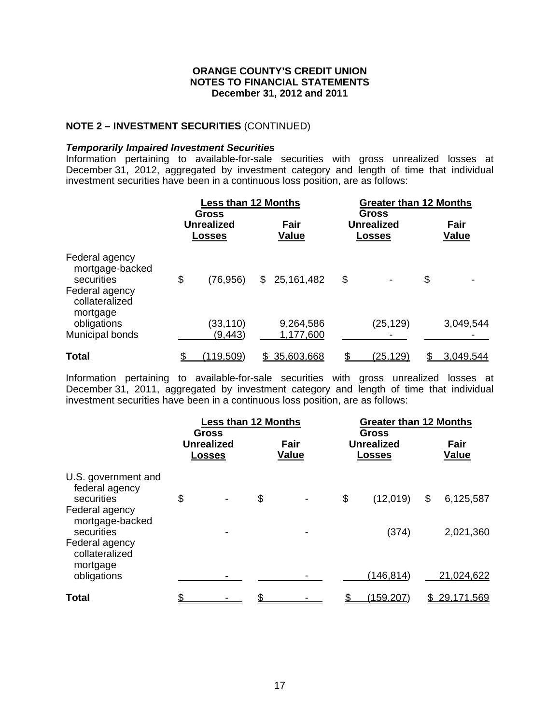## **NOTE 2 – INVESTMENT SECURITIES** (CONTINUED)

#### *Temporarily Impaired Investment Securities*

Information pertaining to available-for-sale securities with gross unrealized losses at December 31, 2012, aggregated by investment category and length of time that individual investment securities have been in a continuous loss position, are as follows:

|                                                                                                 | <b>Less than 12 Months</b><br><b>Gross</b> |                                    |    | <b>Greater than 12 Months</b><br><b>Gross</b> |    |                             |    |                      |
|-------------------------------------------------------------------------------------------------|--------------------------------------------|------------------------------------|----|-----------------------------------------------|----|-----------------------------|----|----------------------|
|                                                                                                 |                                            | <b>Unrealized</b><br><b>Losses</b> |    | Fair<br><b>Value</b>                          |    | <b>Unrealized</b><br>Losses |    | Fair<br><b>Value</b> |
| Federal agency<br>mortgage-backed<br>securities<br>Federal agency<br>collateralized<br>mortgage | \$                                         | (76, 956)                          |    | \$25,161,482                                  | \$ |                             | \$ |                      |
| obligations<br>Municipal bonds                                                                  |                                            | (33,110)<br>(9,443)                |    | 9,264,586<br>1,177,600                        |    | (25, 129)                   |    | 3,049,544            |
| <b>Total</b>                                                                                    |                                            | <u>(119,509)</u>                   | S. | 35,603,668                                    |    | <u>(25,129)</u>             |    | 3.049,544            |

Information pertaining to available-for-sale securities with gross unrealized losses at December 31, 2011, aggregated by investment category and length of time that individual investment securities have been in a continuous loss position, are as follows:

|                                                                                                                                                        | <b>Less than 12 Months</b><br><b>Gross</b> |                                    |    | <b>Gross</b>         | <b>Greater than 12 Months</b>      |    |                        |
|--------------------------------------------------------------------------------------------------------------------------------------------------------|--------------------------------------------|------------------------------------|----|----------------------|------------------------------------|----|------------------------|
|                                                                                                                                                        |                                            | <b>Unrealized</b><br><b>Losses</b> |    | Fair<br><b>Value</b> | <b>Unrealized</b><br><b>Losses</b> |    | Fair<br><b>Value</b>   |
| U.S. government and<br>federal agency<br>securities<br>Federal agency<br>mortgage-backed<br>securities<br>Federal agency<br>collateralized<br>mortgage | \$                                         | -                                  | \$ |                      | \$<br>(12,019)<br>(374)            | \$ | 6,125,587<br>2,021,360 |
| obligations                                                                                                                                            |                                            |                                    |    |                      | (146, 814)                         |    | 21,024,622             |
| <b>Total</b>                                                                                                                                           |                                            |                                    |    |                      | (159, 207)                         |    | <u>29,171,569</u>      |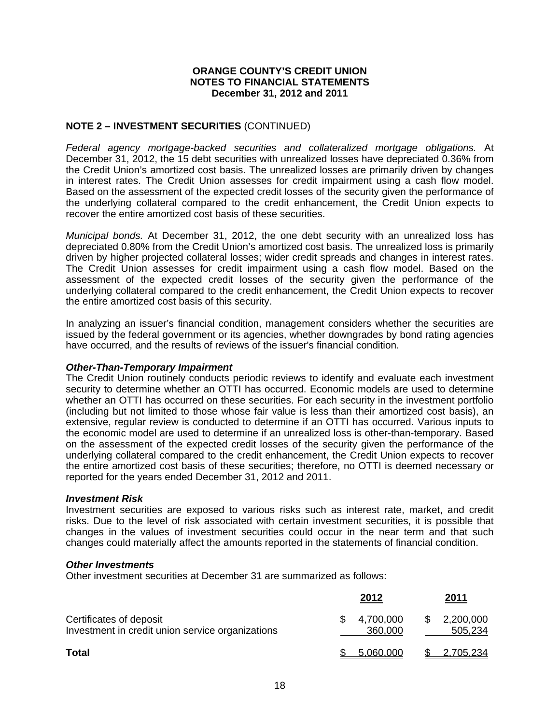## **NOTE 2 – INVESTMENT SECURITIES** (CONTINUED)

*Federal agency mortgage-backed securities and collateralized mortgage obligations.* At December 31, 2012, the 15 debt securities with unrealized losses have depreciated 0.36% from the Credit Union's amortized cost basis. The unrealized losses are primarily driven by changes in interest rates. The Credit Union assesses for credit impairment using a cash flow model. Based on the assessment of the expected credit losses of the security given the performance of the underlying collateral compared to the credit enhancement, the Credit Union expects to recover the entire amortized cost basis of these securities.

*Municipal bonds.* At December 31, 2012, the one debt security with an unrealized loss has depreciated 0.80% from the Credit Union's amortized cost basis. The unrealized loss is primarily driven by higher projected collateral losses; wider credit spreads and changes in interest rates. The Credit Union assesses for credit impairment using a cash flow model. Based on the assessment of the expected credit losses of the security given the performance of the underlying collateral compared to the credit enhancement, the Credit Union expects to recover the entire amortized cost basis of this security.

In analyzing an issuer's financial condition, management considers whether the securities are issued by the federal government or its agencies, whether downgrades by bond rating agencies have occurred, and the results of reviews of the issuer's financial condition.

## *Other-Than-Temporary Impairment*

The Credit Union routinely conducts periodic reviews to identify and evaluate each investment security to determine whether an OTTI has occurred. Economic models are used to determine whether an OTTI has occurred on these securities. For each security in the investment portfolio (including but not limited to those whose fair value is less than their amortized cost basis), an extensive, regular review is conducted to determine if an OTTI has occurred. Various inputs to the economic model are used to determine if an unrealized loss is other-than-temporary. Based on the assessment of the expected credit losses of the security given the performance of the underlying collateral compared to the credit enhancement, the Credit Union expects to recover the entire amortized cost basis of these securities; therefore, no OTTI is deemed necessary or reported for the years ended December 31, 2012 and 2011.

#### *Investment Risk*

Investment securities are exposed to various risks such as interest rate, market, and credit risks. Due to the level of risk associated with certain investment securities, it is possible that changes in the values of investment securities could occur in the near term and that such changes could materially affect the amounts reported in the statements of financial condition.

#### *Other Investments*

Other investment securities at December 31 are summarized as follows:

|                                                                             | 2012                 |     | 2011                 |
|-----------------------------------------------------------------------------|----------------------|-----|----------------------|
| Certificates of deposit<br>Investment in credit union service organizations | 4,700,000<br>360,000 | -SS | 2,200,000<br>505,234 |
| <b>Total</b>                                                                | 5,060,000            |     | 2,705,234            |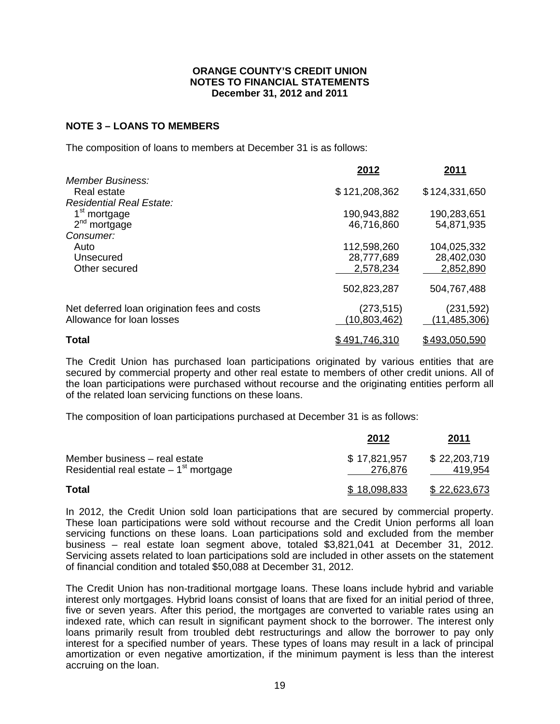### **NOTE 3 – LOANS TO MEMBERS**

The composition of loans to members at December 31 is as follows:

|                                                                               | 2012                                   | 2011                                   |
|-------------------------------------------------------------------------------|----------------------------------------|----------------------------------------|
| <b>Member Business:</b><br>Real estate                                        | \$121,208,362                          | \$124,331,650                          |
| <b>Residential Real Estate:</b><br>1 <sup>st</sup> mortgage<br>$2nd$ mortgage | 190,943,882<br>46,716,860              | 190,283,651<br>54,871,935              |
| Consumer:<br>Auto<br>Unsecured<br>Other secured                               | 112,598,260<br>28,777,689<br>2,578,234 | 104,025,332<br>28,402,030<br>2,852,890 |
|                                                                               | 502,823,287                            | 504,767,488                            |
| Net deferred loan origination fees and costs<br>Allowance for loan losses     | (273, 515)<br>(10, 803, 462)           | (231, 592)<br>(11, 485, 306)           |
| <b>Total</b>                                                                  | \$491,746,310                          | \$493,050,590                          |

The Credit Union has purchased loan participations originated by various entities that are secured by commercial property and other real estate to members of other credit unions. All of the loan participations were purchased without recourse and the originating entities perform all of the related loan servicing functions on these loans.

The composition of loan participations purchased at December 31 is as follows:

|                                                                          | 2012                    | <u> 2011</u>            |
|--------------------------------------------------------------------------|-------------------------|-------------------------|
| Member business - real estate<br>Residential real estate $-1st$ mortgage | \$17,821,957<br>276,876 | \$22,203,719<br>419,954 |
| <b>Total</b>                                                             | \$18,098,833            | \$22,623,673            |

In 2012, the Credit Union sold loan participations that are secured by commercial property. These loan participations were sold without recourse and the Credit Union performs all loan servicing functions on these loans. Loan participations sold and excluded from the member business – real estate loan segment above, totaled \$3,821,041 at December 31, 2012. Servicing assets related to loan participations sold are included in other assets on the statement of financial condition and totaled \$50,088 at December 31, 2012.

The Credit Union has non-traditional mortgage loans. These loans include hybrid and variable interest only mortgages. Hybrid loans consist of loans that are fixed for an initial period of three, five or seven years. After this period, the mortgages are converted to variable rates using an indexed rate, which can result in significant payment shock to the borrower. The interest only loans primarily result from troubled debt restructurings and allow the borrower to pay only interest for a specified number of years. These types of loans may result in a lack of principal amortization or even negative amortization, if the minimum payment is less than the interest accruing on the loan.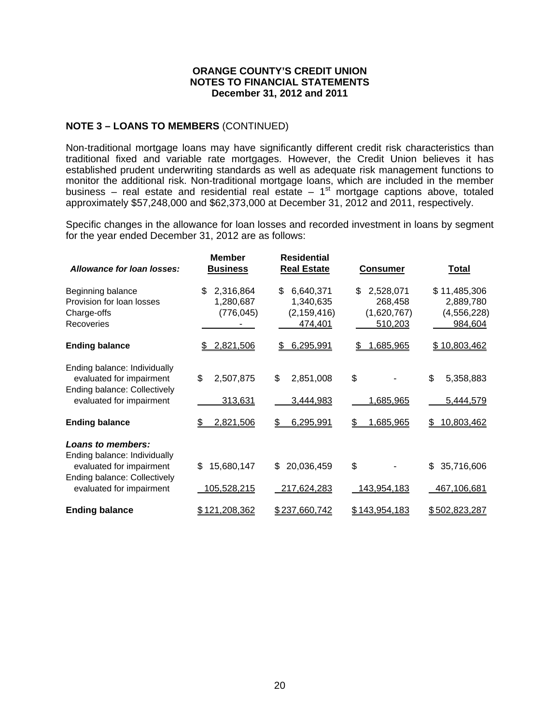## **NOTE 3 – LOANS TO MEMBERS** (CONTINUED)

Non-traditional mortgage loans may have significantly different credit risk characteristics than traditional fixed and variable rate mortgages. However, the Credit Union believes it has established prudent underwriting standards as well as adequate risk management functions to monitor the additional risk. Non-traditional mortgage loans, which are included in the member business – real estate and residential real estate –  $1<sup>st</sup>$  mortgage captions above, totaled approximately \$57,248,000 and \$62,373,000 at December 31, 2012 and 2011, respectively.

Specific changes in the allowance for loan losses and recorded investment in loans by segment for the year ended December 31, 2012 are as follows:

| Allowance for loan losses:                                                                                                                | <b>Member</b><br><b>Business</b>           | <b>Residential</b><br><b>Real Estate</b>                 | <b>Consumer</b>                                      | <b>Total</b>                                          |
|-------------------------------------------------------------------------------------------------------------------------------------------|--------------------------------------------|----------------------------------------------------------|------------------------------------------------------|-------------------------------------------------------|
| Beginning balance<br>Provision for loan losses<br>Charge-offs<br>Recoveries                                                               | \$<br>2,316,864<br>1,280,687<br>(776, 045) | \$<br>6,640,371<br>1,340,635<br>(2, 159, 416)<br>474,401 | \$<br>2,528,071<br>268,458<br>(1,620,767)<br>510,203 | \$11,485,306<br>2,889,780<br>(4, 556, 228)<br>984,604 |
| <b>Ending balance</b>                                                                                                                     | 2,821,506<br>S                             | 6,295,991<br>\$                                          | 1,685,965<br>\$                                      | \$10,803,462                                          |
| Ending balance: Individually<br>evaluated for impairment<br>Ending balance: Collectively<br>evaluated for impairment                      | \$<br>2,507,875<br>313,631                 | \$<br>2,851,008<br>3,444,983                             | \$<br>1,685,965                                      | \$<br>5,358,883<br>5,444,579                          |
| <b>Ending balance</b>                                                                                                                     | 2,821,506                                  | 6,295,991<br>S                                           | 1,685,965<br>\$                                      | 10,803,462<br>\$                                      |
| Loans to members:<br>Ending balance: Individually<br>evaluated for impairment<br>Ending balance: Collectively<br>evaluated for impairment | 15,680,147<br>\$<br>105,528,215            | 20,036,459<br>\$<br>217,624,283                          | \$<br>143,954,183                                    | \$<br>35,716,606<br>467,106,681                       |
| <b>Ending balance</b>                                                                                                                     | \$121,208,362                              | \$237,660,742                                            | \$143,954,183                                        | \$502,823,287                                         |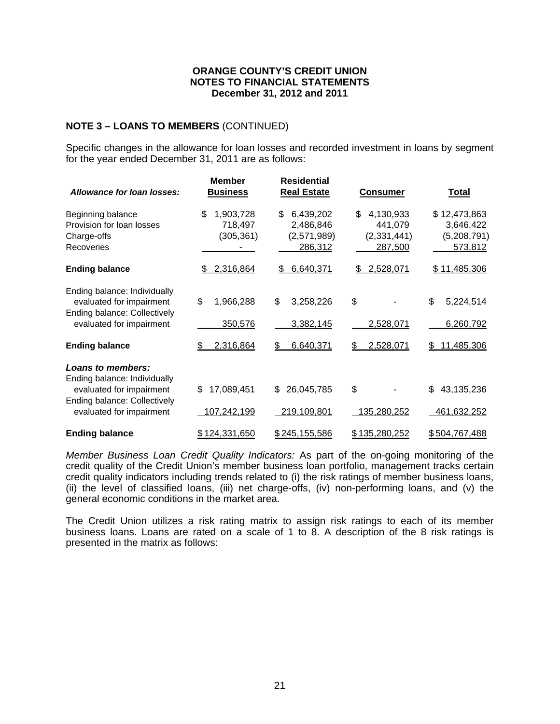## **NOTE 3 – LOANS TO MEMBERS** (CONTINUED)

Specific changes in the allowance for loan losses and recorded investment in loans by segment for the year ended December 31, 2011 are as follows:

| <b>Allowance for loan losses:</b>                                                                                                                | <b>Member</b><br><b>Business</b>         | <b>Residential</b><br><b>Real Estate</b>               | <b>Consumer</b>                                      | <b>Total</b>                                        |
|--------------------------------------------------------------------------------------------------------------------------------------------------|------------------------------------------|--------------------------------------------------------|------------------------------------------------------|-----------------------------------------------------|
| Beginning balance<br>Provision for loan losses<br>Charge-offs<br>Recoveries                                                                      | \$<br>1,903,728<br>718,497<br>(305, 361) | 6,439,202<br>\$<br>2,486,846<br>(2,571,989)<br>286,312 | \$<br>4,130,933<br>441,079<br>(2,331,441)<br>287,500 | \$12,473,863<br>3,646,422<br>(5,208,791)<br>573,812 |
| <b>Ending balance</b>                                                                                                                            | 2,316,864<br>SS.                         | 6,640,371<br>\$                                        | \$2,528,071                                          | \$11,485,306                                        |
| Ending balance: Individually<br>evaluated for impairment<br>Ending balance: Collectively<br>evaluated for impairment                             | \$<br>1,966,288<br>350,576               | \$<br>3,258,226<br>3,382,145                           | \$<br>2,528,071                                      | \$<br>5,224,514<br>6,260,792                        |
| <b>Ending balance</b>                                                                                                                            | 2,316,864                                | 6,640,371<br>\$.                                       | 2,528,071<br>\$                                      | 11,485,306<br>\$                                    |
| <b>Loans to members:</b><br>Ending balance: Individually<br>evaluated for impairment<br>Ending balance: Collectively<br>evaluated for impairment | 17,089,451<br>\$<br>107,242,199          | 26,045,785<br>\$<br>219,109,801                        | \$<br>135,280,252                                    | \$<br>43,135,236<br>461,632,252                     |
| <b>Ending balance</b>                                                                                                                            | \$124,331,650                            | \$245,155,586                                          | \$135,280,252                                        | \$504,767,488                                       |

*Member Business Loan Credit Quality Indicators:* As part of the on-going monitoring of the credit quality of the Credit Union's member business loan portfolio, management tracks certain credit quality indicators including trends related to (i) the risk ratings of member business loans, (ii) the level of classified loans, (iii) net charge-offs, (iv) non-performing loans, and (v) the general economic conditions in the market area.

The Credit Union utilizes a risk rating matrix to assign risk ratings to each of its member business loans. Loans are rated on a scale of 1 to 8. A description of the 8 risk ratings is presented in the matrix as follows: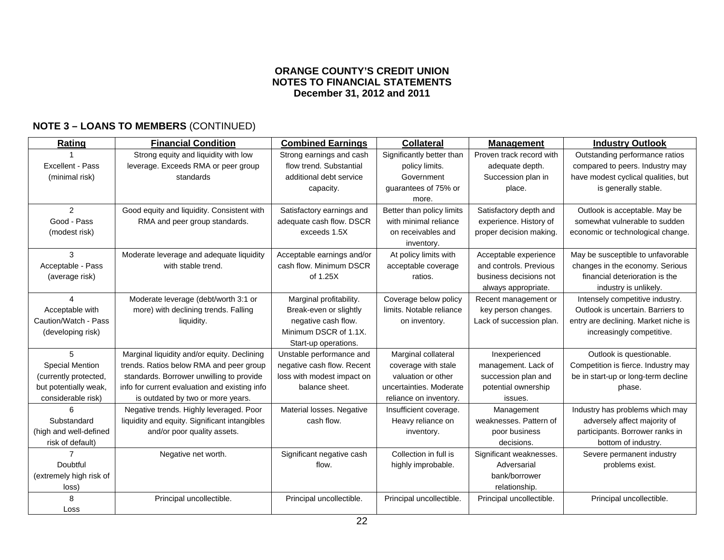# **NOTE 3 – LOANS TO MEMBERS** (CONTINUED)

| Rating                  | <b>Financial Condition</b>                    | <b>Combined Earnings</b>   | <b>Collateral</b>         | <b>Management</b>        | <b>Industry Outlook</b>              |
|-------------------------|-----------------------------------------------|----------------------------|---------------------------|--------------------------|--------------------------------------|
|                         | Strong equity and liquidity with low          | Strong earnings and cash   | Significantly better than | Proven track record with | Outstanding performance ratios       |
| Excellent - Pass        | leverage. Exceeds RMA or peer group           | flow trend. Substantial    | policy limits.            | adequate depth.          | compared to peers. Industry may      |
| (minimal risk)          | standards                                     | additional debt service    | Government                | Succession plan in       | have modest cyclical qualities, but  |
|                         |                                               | capacity.                  | guarantees of 75% or      | place.                   | is generally stable.                 |
|                         |                                               |                            | more.                     |                          |                                      |
| $\mathfrak{D}$          | Good equity and liquidity. Consistent with    | Satisfactory earnings and  | Better than policy limits | Satisfactory depth and   | Outlook is acceptable. May be        |
| Good - Pass             | RMA and peer group standards.                 | adequate cash flow. DSCR   | with minimal reliance     | experience. History of   | somewhat vulnerable to sudden        |
| (modest risk)           |                                               | exceeds 1.5X               | on receivables and        | proper decision making.  | economic or technological change.    |
|                         |                                               |                            | inventory.                |                          |                                      |
| 3                       | Moderate leverage and adequate liquidity      | Acceptable earnings and/or | At policy limits with     | Acceptable experience    | May be susceptible to unfavorable    |
| Acceptable - Pass       | with stable trend.                            | cash flow. Minimum DSCR    | acceptable coverage       | and controls. Previous   | changes in the economy. Serious      |
| (average risk)          |                                               | of 1.25X                   | ratios.                   | business decisions not   | financial deterioration is the       |
|                         |                                               |                            |                           | always appropriate.      | industry is unlikely.                |
| Δ                       | Moderate leverage (debt/worth 3:1 or          | Marginal profitability.    | Coverage below policy     | Recent management or     | Intensely competitive industry.      |
| Acceptable with         | more) with declining trends. Falling          | Break-even or slightly     | limits. Notable reliance  | key person changes.      | Outlook is uncertain. Barriers to    |
| Caution/Watch - Pass    | liquidity.                                    | negative cash flow.        | on inventory.             | Lack of succession plan. | entry are declining. Market niche is |
| (developing risk)       |                                               | Minimum DSCR of 1.1X.      |                           |                          | increasingly competitive.            |
|                         |                                               | Start-up operations.       |                           |                          |                                      |
| 5                       | Marginal liquidity and/or equity. Declining   | Unstable performance and   | Marginal collateral       | Inexperienced            | Outlook is questionable.             |
| <b>Special Mention</b>  | trends. Ratios below RMA and peer group       | negative cash flow. Recent | coverage with stale       | management. Lack of      | Competition is fierce. Industry may  |
| (currently protected,   | standards. Borrower unwilling to provide      | loss with modest impact on | valuation or other        | succession plan and      | be in start-up or long-term decline  |
| but potentially weak,   | info for current evaluation and existing info | balance sheet.             | uncertainties. Moderate   | potential ownership      | phase.                               |
| considerable risk)      | is outdated by two or more years.             |                            | reliance on inventory.    | issues.                  |                                      |
| 6                       | Negative trends. Highly leveraged. Poor       | Material losses. Negative  | Insufficient coverage.    | Management               | Industry has problems which may      |
| Substandard             | liquidity and equity. Significant intangibles | cash flow.                 | Heavy reliance on         | weaknesses. Pattern of   | adversely affect majority of         |
| (high and well-defined  | and/or poor quality assets.                   |                            | inventory.                | poor business            | participants. Borrower ranks in      |
| risk of default)        |                                               |                            |                           | decisions.               | bottom of industry.                  |
|                         | Negative net worth.                           | Significant negative cash  | Collection in full is     | Significant weaknesses.  | Severe permanent industry            |
| Doubtful                |                                               | flow.                      | highly improbable.        | Adversarial              | problems exist.                      |
| (extremely high risk of |                                               |                            |                           | bank/borrower            |                                      |
| loss)                   |                                               |                            |                           | relationship.            |                                      |
| 8                       | Principal uncollectible.                      | Principal uncollectible.   | Principal uncollectible.  | Principal uncollectible. | Principal uncollectible.             |
| Loss                    |                                               |                            |                           |                          |                                      |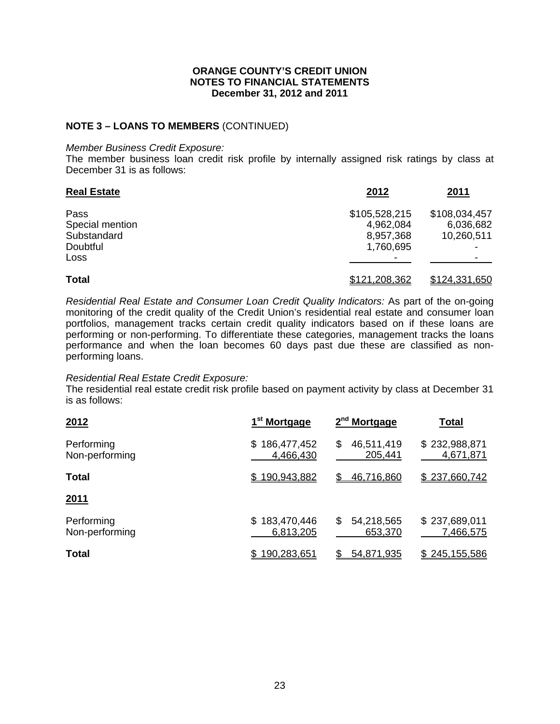## **NOTE 3 – LOANS TO MEMBERS** (CONTINUED)

#### *Member Business Credit Exposure:*

The member business loan credit risk profile by internally assigned risk ratings by class at December 31 is as follows:

| <b>Real Estate</b> | 2012          | 2011          |
|--------------------|---------------|---------------|
| Pass               | \$105,528,215 | \$108,034,457 |
| Special mention    | 4,962,084     | 6,036,682     |
| Substandard        | 8,957,368     | 10,260,511    |
| Doubtful           | 1,760,695     |               |
| Loss               |               |               |
| <b>Total</b>       | \$121,208,362 | \$124,331,650 |

*Residential Real Estate and Consumer Loan Credit Quality Indicators:* As part of the on-going monitoring of the credit quality of the Credit Union's residential real estate and consumer loan portfolios, management tracks certain credit quality indicators based on if these loans are performing or non-performing. To differentiate these categories, management tracks the loans performance and when the loan becomes 60 days past due these are classified as nonperforming loans.

#### *Residential Real Estate Credit Exposure:*

The residential real estate credit risk profile based on payment activity by class at December 31 is as follows:

| 2012                         | 1 <sup>st</sup> Mortgage        | 2 <sup>nd</sup> Mortgage    | <b>Total</b>               |
|------------------------------|---------------------------------|-----------------------------|----------------------------|
| Performing<br>Non-performing | 186,477,452<br>\$.<br>4,466,430 | \$<br>46,511,419<br>205,441 | \$232,988,871<br>4,671,871 |
| <b>Total</b>                 | \$190,943,882                   | \$<br>46,716,860            | \$237,660,742              |
| <u>2011</u>                  |                                 |                             |                            |
| Performing<br>Non-performing | \$183,470,446<br>6,813,205      | \$<br>54,218,565<br>653,370 | \$237,689,011<br>7,466,575 |
| <b>Total</b>                 | 190,283,651                     | 54,871,935                  | 245,155,586                |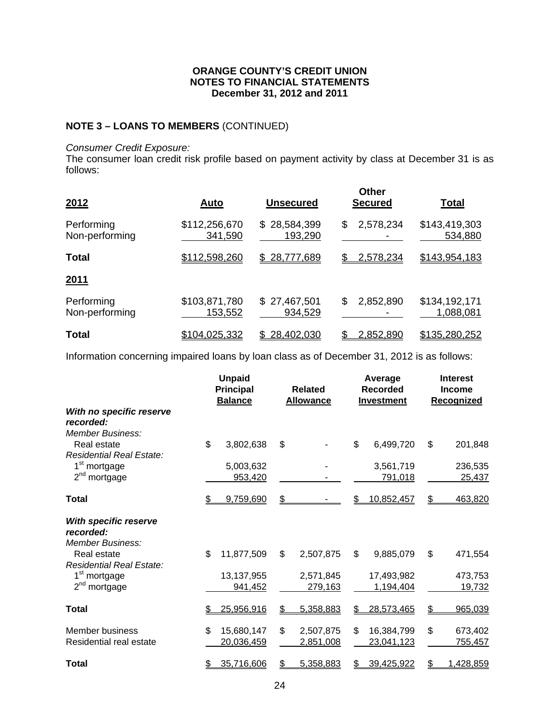## **NOTE 3 – LOANS TO MEMBERS** (CONTINUED)

#### *Consumer Credit Exposure:*

The consumer loan credit risk profile based on payment activity by class at December 31 is as follows:

| 2012                         | <u>Auto</u>                     | <b>Unsecured</b>            | <b>Other</b><br><b>Secured</b> | <u>Total</u>               |
|------------------------------|---------------------------------|-----------------------------|--------------------------------|----------------------------|
| Performing<br>Non-performing | \$112,256,670<br>341,590        | 28,584,399<br>S.<br>193,290 | 2,578,234<br>\$                | \$143,419,303<br>534,880   |
| <b>Total</b>                 | \$112,598,260                   | 28,777,689<br>\$            | 2,578,234<br>S                 | \$143,954,183              |
| <u>2011</u>                  |                                 |                             |                                |                            |
| Performing<br>Non-performing | \$103,871,780<br><u>153,552</u> | \$27,467,501<br>934,529     | \$<br>2,852,890                | \$134,192,171<br>1,088,081 |
| <b>Total</b>                 | <u>\$104,025,332</u>            | 28,402,030                  | 2,852,890                      | \$135,280,252              |

Information concerning impaired loans by loan class as of December 31, 2012 is as follows:

|                                                                      | <b>Unpaid</b><br><b>Principal</b><br><b>Balance</b> | <b>Related</b><br><b>Allowance</b> |    | Average<br><b>Recorded</b><br><b>Investment</b> | <b>Interest</b><br><b>Income</b><br>Recognized |
|----------------------------------------------------------------------|-----------------------------------------------------|------------------------------------|----|-------------------------------------------------|------------------------------------------------|
| With no specific reserve<br>recorded:<br><b>Member Business:</b>     |                                                     |                                    |    |                                                 |                                                |
| Real estate<br>Residential Real Estate:                              | \$<br>3,802,638                                     | \$                                 | \$ | 6,499,720                                       | \$<br>201,848                                  |
| 1 <sup>st</sup> mortgage<br>$2^{nd}$<br>mortgage                     | 5,003,632<br>953,420                                |                                    |    | 3,561,719<br>791,018                            | 236,535<br>25,437                              |
| Total                                                                | 9,759,690                                           | \$                                 |    | 10,852,457                                      | \$<br>463,820                                  |
| <b>With specific reserve</b><br>recorded:<br><b>Member Business:</b> |                                                     |                                    |    |                                                 |                                                |
| Real estate<br>Residential Real Estate:                              | \$<br>11,877,509                                    | \$<br>2,507,875                    | \$ | 9,885,079                                       | \$<br>471,554                                  |
| 1 <sup>st</sup> mortgage<br>$2nd$ mortgage                           | 13,137,955<br>941,452                               | 2,571,845<br>279,163               |    | 17,493,982<br>1,194,404                         | 473,753<br>19,732                              |
| Total                                                                | 25,956,916                                          | \$<br>5,358,883                    |    | 28,573,465                                      | \$<br>965,039                                  |
| <b>Member business</b><br>Residential real estate                    | \$<br>15,680,147<br>20,036,459                      | \$<br>2,507,875<br>2,851,008       | \$ | 16,384,799<br>23,041,123                        | \$<br>673,402<br>755,457                       |
| <b>Total</b>                                                         | 35,716,606                                          | \$<br>5,358,883                    | S  | 39,425,922                                      | \$<br>1,428,859                                |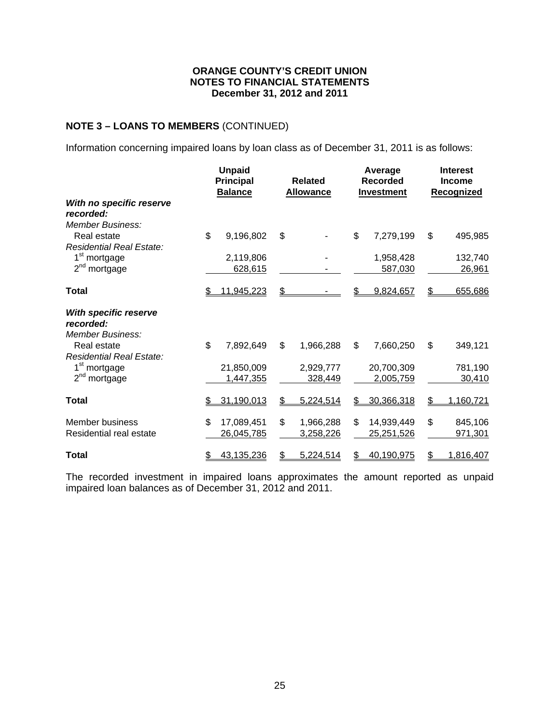## **NOTE 3 – LOANS TO MEMBERS** (CONTINUED)

Information concerning impaired loans by loan class as of December 31, 2011 is as follows:

|                                                                                         |    | <b>Unpaid</b><br><b>Principal</b><br><b>Balance</b> | <b>Related</b><br><b>Allowance</b> | Average<br><b>Recorded</b><br><b>Investment</b> | <b>Interest</b><br><b>Income</b><br><b>Recognized</b> |
|-----------------------------------------------------------------------------------------|----|-----------------------------------------------------|------------------------------------|-------------------------------------------------|-------------------------------------------------------|
| With no specific reserve<br>recorded:<br>Member Business:                               |    |                                                     |                                    |                                                 |                                                       |
| Real estate                                                                             | \$ | 9,196,802                                           | \$                                 | \$<br>7,279,199                                 | \$<br>495,985                                         |
| <b>Residential Real Estate:</b><br>1 <sup>st</sup> mortgage<br>2 <sup>nd</sup> mortgage |    | 2,119,806<br>628,615                                |                                    | 1,958,428<br>587,030                            | 132,740<br>26,961                                     |
| <b>Total</b>                                                                            | S. | 11,945,223                                          | \$                                 | 9,824,657                                       | \$<br>655,686                                         |
| With specific reserve<br>recorded:<br><b>Member Business:</b>                           |    |                                                     |                                    |                                                 |                                                       |
| Real estate<br><b>Residential Real Estate:</b>                                          | \$ | 7,892,649                                           | \$<br>1,966,288                    | \$<br>7,660,250                                 | \$<br>349,121                                         |
| 1 <sup>st</sup> mortgage                                                                |    | 21,850,009                                          | 2,929,777                          | 20,700,309                                      | 781,190                                               |
| 2 <sup>nd</sup> mortgage                                                                |    | 1,447,355                                           | 328,449                            | 2,005,759                                       | 30,410                                                |
| Total                                                                                   | S  | 31,190,013                                          | \$<br>5,224,514                    | \$<br>30,366,318                                | \$<br>1,160,721                                       |
| Member business<br>Residential real estate                                              | \$ | 17,089,451<br>26,045,785                            | \$<br>1,966,288<br>3,258,226       | \$<br>14,939,449<br>25,251,526                  | \$<br>845,106<br>971,301                              |
| <b>Total</b>                                                                            | \$ | 43,135,236                                          | \$<br>5,224,514                    | \$<br>40,190,975                                | \$<br>1,816,407                                       |

The recorded investment in impaired loans approximates the amount reported as unpaid impaired loan balances as of December 31, 2012 and 2011.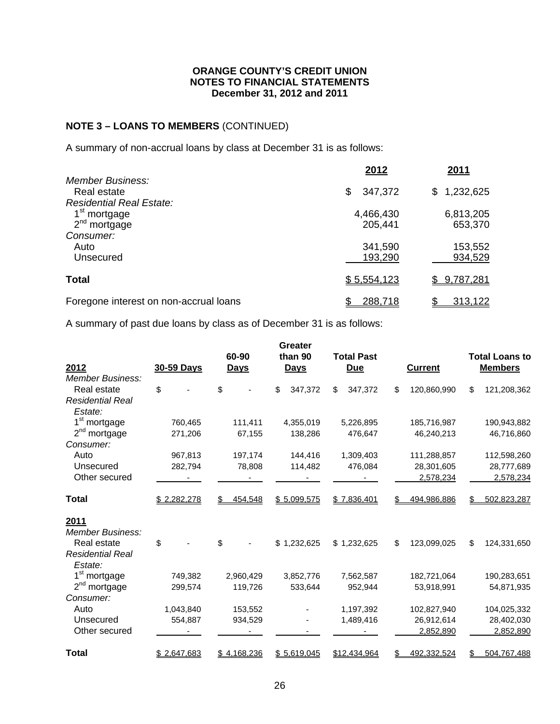# **NOTE 3 – LOANS TO MEMBERS** (CONTINUED)

A summary of non-accrual loans by class at December 31 is as follows:

|                                                                    | 2012                 | <u>2011</u>          |
|--------------------------------------------------------------------|----------------------|----------------------|
| Member Business:<br>Real estate<br><b>Residential Real Estate:</b> | \$<br>347,372        | 1,232,625<br>\$.     |
| 1 <sup>st</sup> mortgage<br>$2nd$ mortgage                         | 4,466,430<br>205,441 | 6,813,205<br>653,370 |
| Consumer:<br>Auto<br>Unsecured                                     | 341,590<br>193,290   | 153,552<br>934,529   |
| <b>Total</b>                                                       | \$5,554,123          | \$9,787,281          |
| Foregone interest on non-accrual loans                             | 288,718              | 313,122              |

A summary of past due loans by class as of December 31 is as follows:

|                                    |             | 60-90          | Greater<br>than 90 | <b>Total Past</b> |                    | <b>Total Loans to</b> |
|------------------------------------|-------------|----------------|--------------------|-------------------|--------------------|-----------------------|
| 2012                               | 30-59 Days  | <b>Days</b>    | <b>Days</b>        | <b>Due</b>        | <b>Current</b>     | <b>Members</b>        |
| <b>Member Business:</b>            |             |                |                    |                   |                    |                       |
| Real estate                        | \$          | \$             | \$<br>347,372      | \$<br>347,372     | \$<br>120,860,990  | \$<br>121,208,362     |
| <b>Residential Real</b><br>Estate: |             |                |                    |                   |                    |                       |
| 1 <sup>st</sup> mortgage           | 760,465     | 111,411        | 4,355,019          | 5,226,895         | 185,716,987        | 190,943,882           |
| $2nd$ mortgage                     | 271,206     | 67,155         | 138,286            | 476,647           | 46,240,213         | 46,716,860            |
| Consumer:                          |             |                |                    |                   |                    |                       |
| Auto                               | 967,813     | 197,174        | 144,416            | 1,309,403         | 111,288,857        | 112,598,260           |
| Unsecured                          | 282,794     | 78,808         | 114,482            | 476,084           | 28,301,605         | 28,777,689            |
| Other secured                      |             |                |                    |                   | 2,578,234          | 2,578,234             |
| Total                              | \$2,282,278 | 454,548<br>\$. | \$5,099,575        | \$7,836,401       | \$.<br>494.986.886 | 502,823,287           |
| 2011                               |             |                |                    |                   |                    |                       |
| Member Business:                   |             |                |                    |                   |                    |                       |
| Real estate                        | \$          | \$             | \$1,232,625        | \$1,232,625       | \$<br>123,099,025  | \$<br>124,331,650     |
| <b>Residential Real</b>            |             |                |                    |                   |                    |                       |
| Estate:                            |             |                |                    |                   |                    |                       |
| 1 <sup>st</sup> mortgage           | 749,382     | 2,960,429      | 3,852,776          | 7,562,587         | 182,721,064        | 190,283,651           |
| 2 <sup>nd</sup> mortgage           | 299,574     | 119,726        | 533,644            | 952,944           | 53,918,991         | 54,871,935            |
| Consumer:                          |             |                |                    |                   |                    |                       |
| Auto                               | 1,043,840   | 153,552        |                    | 1,197,392         | 102,827,940        | 104,025,332           |
| Unsecured                          | 554,887     | 934,529        |                    | 1,489,416         | 26,912,614         | 28,402,030            |
| Other secured                      |             |                |                    |                   | 2,852,890          | 2,852,890             |
| Total                              | \$2,647,683 | \$4,168,236    | \$5,619,045        | \$12,434,964      | 492,332,524        | 504,767,488           |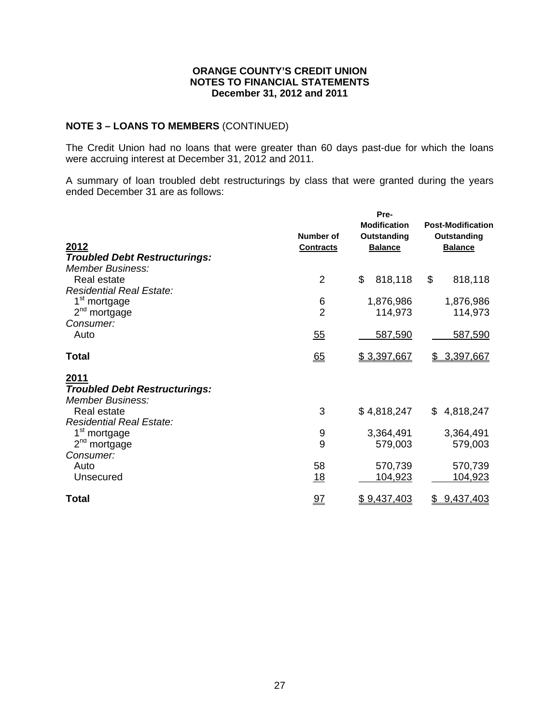## **NOTE 3 – LOANS TO MEMBERS** (CONTINUED)

The Credit Union had no loans that were greater than 60 days past-due for which the loans were accruing interest at December 31, 2012 and 2011.

A summary of loan troubled debt restructurings by class that were granted during the years ended December 31 are as follows:

|                                      | Number of        | Pre-<br><b>Modification</b><br>Outstanding | <b>Post-Modification</b><br>Outstanding |
|--------------------------------------|------------------|--------------------------------------------|-----------------------------------------|
| 2012                                 | <b>Contracts</b> | <b>Balance</b>                             | <b>Balance</b>                          |
| <b>Troubled Debt Restructurings:</b> |                  |                                            |                                         |
| <b>Member Business:</b>              |                  |                                            |                                         |
| Real estate                          | $\overline{2}$   | \$<br>818,118                              | \$<br>818,118                           |
| <b>Residential Real Estate:</b>      |                  |                                            |                                         |
| 1 <sup>st</sup> mortgage             | 6                | 1,876,986                                  | 1,876,986                               |
| 2 <sup>nd</sup> mortgage             | $\overline{2}$   | 114,973                                    | 114,973                                 |
| Consumer:                            |                  |                                            |                                         |
| Auto                                 | 55               | 587,590                                    | 587,590                                 |
| <b>Total</b>                         | 65               | \$3,397,667                                | \$ 3,397,667                            |
| 2011                                 |                  |                                            |                                         |
| <b>Troubled Debt Restructurings:</b> |                  |                                            |                                         |
| Member Business:                     |                  |                                            |                                         |
| Real estate                          | 3                | \$4,818,247                                | 4,818,247<br>\$.                        |
| <b>Residential Real Estate:</b>      |                  |                                            |                                         |
| 1 <sup>st</sup> mortgage             | 9                | 3,364,491                                  | 3,364,491                               |
| $2nd$ mortgage                       | 9                | 579,003                                    | 579,003                                 |
| Consumer:                            |                  |                                            |                                         |
| Auto                                 | 58               | 570,739                                    | 570,739                                 |
| Unsecured                            | 18               | 104,923                                    | 104,923                                 |
| <b>Total</b>                         | <u>97</u>        | \$9,437,403                                | <u>9,437,403</u><br>\$                  |
|                                      |                  |                                            |                                         |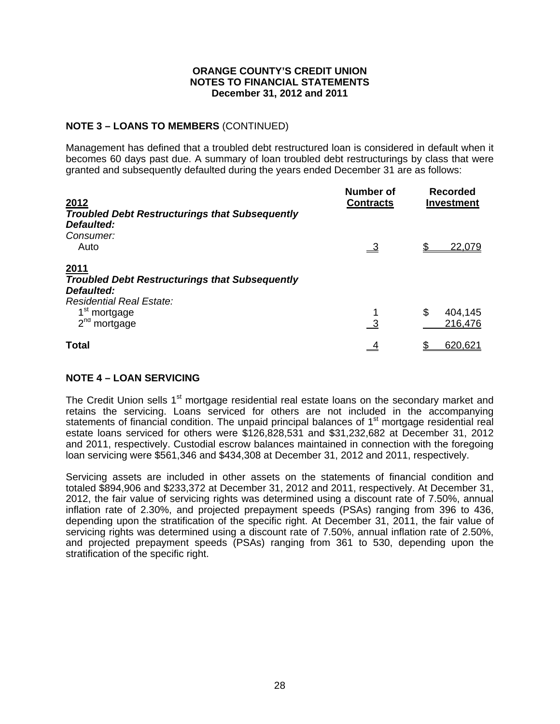## **NOTE 3 – LOANS TO MEMBERS** (CONTINUED)

Management has defined that a troubled debt restructured loan is considered in default when it becomes 60 days past due. A summary of loan troubled debt restructurings by class that were granted and subsequently defaulted during the years ended December 31 are as follows:

| 2012                                                                                                                                              | Number of<br><b>Contracts</b> | <b>Recorded</b><br><b>Investment</b> |
|---------------------------------------------------------------------------------------------------------------------------------------------------|-------------------------------|--------------------------------------|
| <b>Troubled Debt Restructurings that Subsequently</b><br>Defaulted:<br>Consumer:<br>Auto                                                          | $\overline{\mathbf{3}}$       | 22,079                               |
| 2011<br><b>Troubled Debt Restructurings that Subsequently</b><br><b>Defaulted:</b><br><b>Residential Real Estate:</b><br>1 <sup>st</sup> mortgage |                               | \$<br>404,145                        |
| $2nd$ mortgage                                                                                                                                    | $\overline{\phantom{a}3}$     | 216,476                              |
| Total                                                                                                                                             |                               | 620,621                              |

## **NOTE 4 – LOAN SERVICING**

The Credit Union sells 1<sup>st</sup> mortgage residential real estate loans on the secondary market and retains the servicing. Loans serviced for others are not included in the accompanying statements of financial condition. The unpaid principal balances of 1<sup>st</sup> mortgage residential real estate loans serviced for others were \$126,828,531 and \$31,232,682 at December 31, 2012 and 2011, respectively. Custodial escrow balances maintained in connection with the foregoing loan servicing were \$561,346 and \$434,308 at December 31, 2012 and 2011, respectively.

Servicing assets are included in other assets on the statements of financial condition and totaled \$894,906 and \$233,372 at December 31, 2012 and 2011, respectively. At December 31, 2012, the fair value of servicing rights was determined using a discount rate of 7.50%, annual inflation rate of 2.30%, and projected prepayment speeds (PSAs) ranging from 396 to 436, depending upon the stratification of the specific right. At December 31, 2011, the fair value of servicing rights was determined using a discount rate of 7.50%, annual inflation rate of 2.50%, and projected prepayment speeds (PSAs) ranging from 361 to 530, depending upon the stratification of the specific right.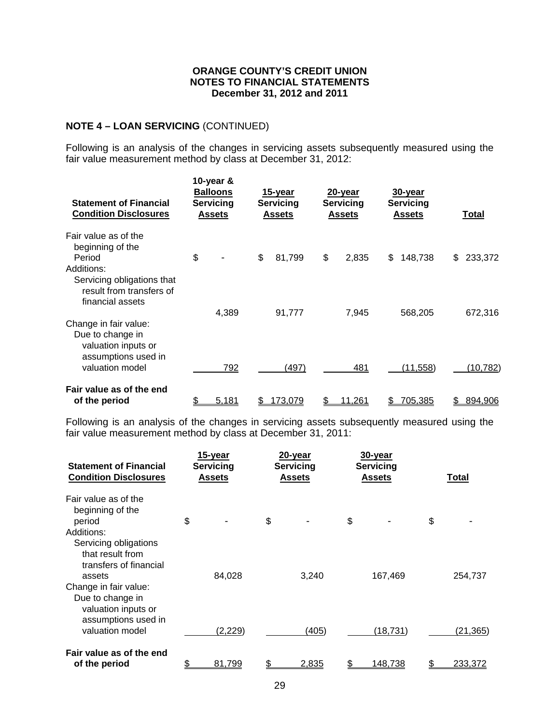## **NOTE 4 – LOAN SERVICING** (CONTINUED)

Following is an analysis of the changes in servicing assets subsequently measured using the fair value measurement method by class at December 31, 2012:

| <b>Statement of Financial</b><br><b>Condition Disclosures</b>                            | 10-year &<br><b>Balloons</b><br>Servicing<br><b>Assets</b> | 15-year<br><b>Servicing</b><br><b>Assets</b> | 20-year<br><b>Servicing</b><br><b>Assets</b> | 30-year<br><b>Servicing</b><br><b>Assets</b> |     | Total     |
|------------------------------------------------------------------------------------------|------------------------------------------------------------|----------------------------------------------|----------------------------------------------|----------------------------------------------|-----|-----------|
| Fair value as of the                                                                     |                                                            |                                              |                                              |                                              |     |           |
| beginning of the<br>Period                                                               | \$                                                         | \$<br>81,799                                 | \$<br>2,835                                  | \$<br>148,738                                | \$. | 233,372   |
| Additions:<br>Servicing obligations that<br>result from transfers of<br>financial assets |                                                            |                                              |                                              |                                              |     |           |
|                                                                                          | 4,389                                                      | 91,777                                       | 7,945                                        | 568,205                                      |     | 672,316   |
| Change in fair value:<br>Due to change in<br>valuation inputs or<br>assumptions used in  |                                                            |                                              |                                              |                                              |     |           |
| valuation model                                                                          | 792                                                        | (497)                                        | 481                                          | (11,558)                                     |     | (10, 782) |
| Fair value as of the end                                                                 |                                                            |                                              |                                              |                                              |     |           |
| of the period                                                                            | 5,181                                                      | <u>173,079</u>                               | 11,261                                       | 705,385                                      |     | 894,906   |

Following is an analysis of the changes in servicing assets subsequently measured using the fair value measurement method by class at December 31, 2011:

| <b>Statement of Financial</b><br><b>Condition Disclosures</b>                                              | 15-year<br><b>Servicing</b><br><u>Assets</u> | 20-year<br><b>Servicing</b><br><u>Assets</u> | 30-year<br><b>Servicing</b><br><u>Assets</u> |    | <u>Total</u> |
|------------------------------------------------------------------------------------------------------------|----------------------------------------------|----------------------------------------------|----------------------------------------------|----|--------------|
| Fair value as of the<br>beginning of the<br>period                                                         | \$                                           | \$                                           | \$                                           | \$ |              |
| Additions:<br>Servicing obligations<br>that result from<br>transfers of financial<br>assets                | 84,028                                       | 3,240                                        | 167,469                                      |    | 254,737      |
| Change in fair value:<br>Due to change in<br>valuation inputs or<br>assumptions used in<br>valuation model | (2,229)                                      | (405)                                        | (18, 731)                                    |    | (21, 365)    |
| Fair value as of the end<br>of the period                                                                  | 81.799                                       | 2,835                                        | 148.738                                      | S  | 233,372      |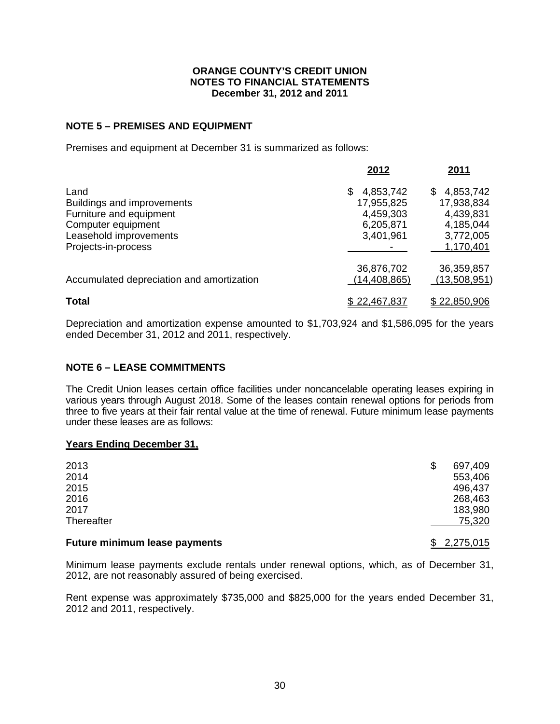## **NOTE 5 – PREMISES AND EQUIPMENT**

Premises and equipment at December 31 is summarized as follows:

|                                           | 2012           | 2011           |
|-------------------------------------------|----------------|----------------|
| Land                                      | 4,853,742<br>S | 4,853,742<br>S |
| <b>Buildings and improvements</b>         | 17,955,825     | 17,938,834     |
| Furniture and equipment                   | 4,459,303      | 4,439,831      |
| Computer equipment                        | 6,205,871      | 4,185,044      |
| Leasehold improvements                    | 3,401,961      | 3,772,005      |
| Projects-in-process                       |                | 1,170,401      |
|                                           | 36,876,702     | 36,359,857     |
| Accumulated depreciation and amortization | (14, 408, 865) | (13,508,951)   |
| <b>Total</b>                              | \$22,467,837   | \$22,850,906   |

Depreciation and amortization expense amounted to \$1,703,924 and \$1,586,095 for the years ended December 31, 2012 and 2011, respectively.

## **NOTE 6 – LEASE COMMITMENTS**

The Credit Union leases certain office facilities under noncancelable operating leases expiring in various years through August 2018. Some of the leases contain renewal options for periods from three to five years at their fair rental value at the time of renewal. Future minimum lease payments under these leases are as follows:

#### **Years Ending December 31,**

| <b>Future minimum lease payments</b> | 2,275,015     |
|--------------------------------------|---------------|
| Thereafter                           | 75,320        |
| 2017                                 | 183,980       |
| 2016                                 | 268,463       |
| 2015                                 | 496,437       |
| 2014                                 | 553,406       |
| 2013                                 | \$<br>697,409 |

Minimum lease payments exclude rentals under renewal options, which, as of December 31, 2012, are not reasonably assured of being exercised.

Rent expense was approximately \$735,000 and \$825,000 for the years ended December 31, 2012 and 2011, respectively.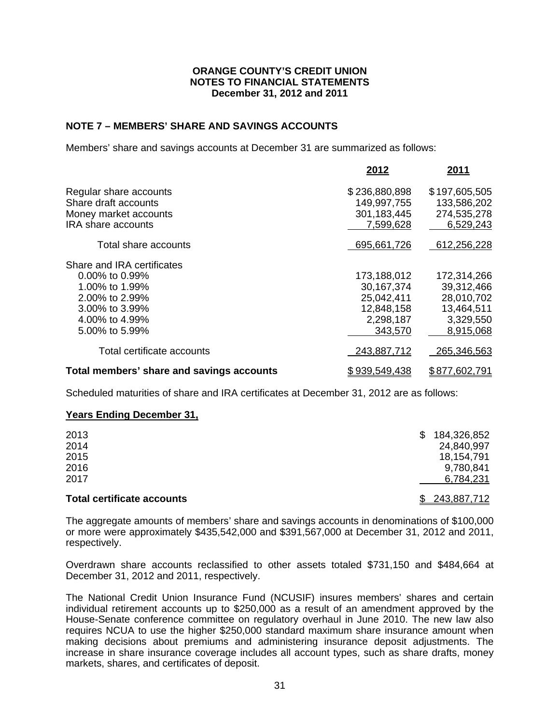### **NOTE 7 – MEMBERS' SHARE AND SAVINGS ACCOUNTS**

Members' share and savings accounts at December 31 are summarized as follows:

|                                           | 2012          | 2011          |
|-------------------------------------------|---------------|---------------|
| Regular share accounts                    | \$236,880,898 | \$197,605,505 |
| Share draft accounts                      | 149,997,755   | 133,586,202   |
| Money market accounts                     | 301,183,445   | 274,535,278   |
| <b>IRA</b> share accounts                 | 7,599,628     | 6,529,243     |
| Total share accounts                      | 695,661,726   | 612,256,228   |
| Share and IRA certificates                |               |               |
| $0.00\%$ to 0.99%                         | 173,188,012   | 172,314,266   |
| 1.00% to 1.99%                            | 30, 167, 374  | 39,312,466    |
| 2.00% to 2.99%                            | 25,042,411    | 28,010,702    |
| 3.00% to 3.99%                            | 12,848,158    | 13,464,511    |
| 4.00% to 4.99%                            | 2,298,187     | 3,329,550     |
| 5.00% to 5.99%                            | 343,570       | 8,915,068     |
| Total certificate accounts                | 243,887,712   | 265,346,563   |
| Total members' share and savings accounts | \$939,549,438 | \$877,602,791 |

Scheduled maturities of share and IRA certificates at December 31, 2012 are as follows:

#### **Years Ending December 31,**

| <b>Total certificate accounts</b> | \$243,887,712     |
|-----------------------------------|-------------------|
| 2017                              | 6,784,231         |
| 2016                              | 9,780,841         |
| 2015                              | 18,154,791        |
| 2014                              | 24,840,997        |
| 2013                              | 184,326,852<br>S. |
|                                   |                   |

The aggregate amounts of members' share and savings accounts in denominations of \$100,000 or more were approximately \$435,542,000 and \$391,567,000 at December 31, 2012 and 2011, respectively.

Overdrawn share accounts reclassified to other assets totaled \$731,150 and \$484,664 at December 31, 2012 and 2011, respectively.

The National Credit Union Insurance Fund (NCUSIF) insures members' shares and certain individual retirement accounts up to \$250,000 as a result of an amendment approved by the House-Senate conference committee on regulatory overhaul in June 2010. The new law also requires NCUA to use the higher \$250,000 standard maximum share insurance amount when making decisions about premiums and administering insurance deposit adjustments. The increase in share insurance coverage includes all account types, such as share drafts, money markets, shares, and certificates of deposit.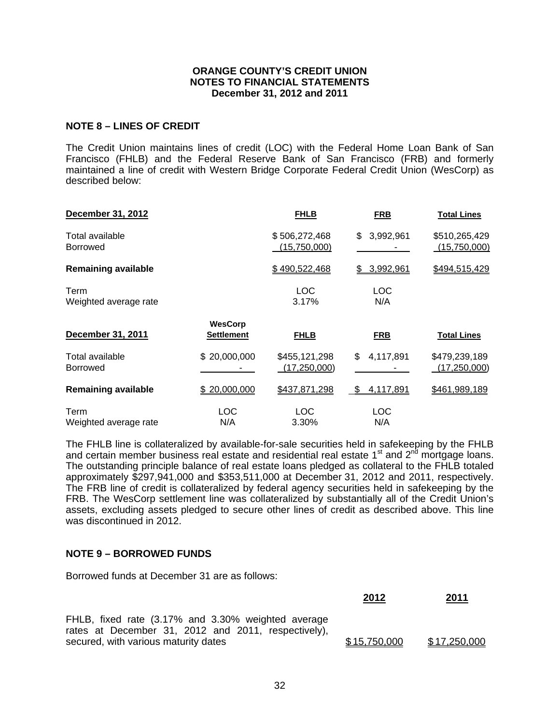#### **NOTE 8 – LINES OF CREDIT**

The Credit Union maintains lines of credit (LOC) with the Federal Home Loan Bank of San Francisco (FHLB) and the Federal Reserve Bank of San Francisco (FRB) and formerly maintained a line of credit with Western Bridge Corporate Federal Credit Union (WesCorp) as described below:

| December 31, 2012                  |                                     | <b>FHLB</b>                     | <b>FRB</b>              | <b>Total Lines</b>              |
|------------------------------------|-------------------------------------|---------------------------------|-------------------------|---------------------------------|
| Total available<br><b>Borrowed</b> |                                     | \$506,272,468<br>(15,750,000)   | \$<br>3,992,961         | \$510,265,429<br>(15,750,000)   |
| <b>Remaining available</b>         |                                     | \$490,522,468                   | 3,992,961               | \$494,515,429                   |
| Term<br>Weighted average rate      |                                     | <b>LOC</b><br>3.17%             | LOC<br>N/A              |                                 |
| December 31, 2011                  | <b>WesCorp</b><br><b>Settlement</b> | <b>FHLB</b>                     | <b>FRB</b>              | <u>Total Lines</u>              |
| Total available<br><b>Borrowed</b> | \$20,000,000                        | \$455,121,298<br>(17, 250, 000) | 4,117,891<br>\$         | \$479,239,189<br>(17, 250, 000) |
| <b>Remaining available</b>         | \$20,000,000                        | \$437,871,298                   | <u>4,117,891</u><br>-SS | \$461,989,189                   |
| Term<br>Weighted average rate      | LOC<br>N/A                          | <b>LOC</b><br>3.30%             | <b>LOC</b><br>N/A       |                                 |

The FHLB line is collateralized by available-for-sale securities held in safekeeping by the FHLB and certain member business real estate and residential real estate  $1<sup>st</sup>$  and  $2<sup>nd</sup>$  mortgage loans. The outstanding principle balance of real estate loans pledged as collateral to the FHLB totaled approximately \$297,941,000 and \$353,511,000 at December 31, 2012 and 2011, respectively. The FRB line of credit is collateralized by federal agency securities held in safekeeping by the FRB. The WesCorp settlement line was collateralized by substantially all of the Credit Union's assets, excluding assets pledged to secure other lines of credit as described above. This line was discontinued in 2012.

### **NOTE 9 – BORROWED FUNDS**

Borrowed funds at December 31 are as follows:

|                                                                                                           | 2012         | <u>2011</u>  |
|-----------------------------------------------------------------------------------------------------------|--------------|--------------|
| FHLB, fixed rate (3.17% and 3.30% weighted average<br>rates at December 31, 2012 and 2011, respectively), |              |              |
| secured, with various maturity dates                                                                      | \$15,750,000 | \$17,250,000 |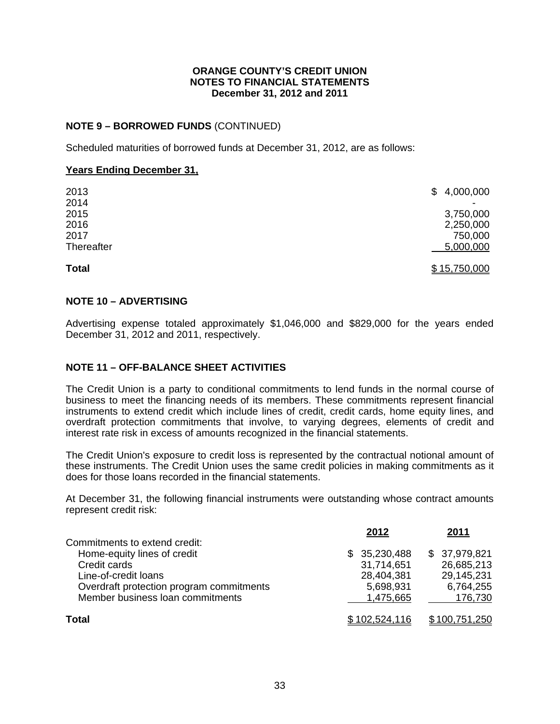## **NOTE 9 – BORROWED FUNDS** (CONTINUED)

Scheduled maturities of borrowed funds at December 31, 2012, are as follows:

### **Years Ending December 31,**

| <b>Total</b> | \$15,750,000     |
|--------------|------------------|
| Thereafter   | <u>5,000,000</u> |
| 2017         | 750,000          |
| 2016         | 2,250,000        |
| 2015         | 3,750,000        |
| 2014         |                  |
| 2013         | \$4,000,000      |
|              |                  |

## **NOTE 10 – ADVERTISING**

Advertising expense totaled approximately \$1,046,000 and \$829,000 for the years ended December 31, 2012 and 2011, respectively.

## **NOTE 11 – OFF-BALANCE SHEET ACTIVITIES**

The Credit Union is a party to conditional commitments to lend funds in the normal course of business to meet the financing needs of its members. These commitments represent financial instruments to extend credit which include lines of credit, credit cards, home equity lines, and overdraft protection commitments that involve, to varying degrees, elements of credit and interest rate risk in excess of amounts recognized in the financial statements.

The Credit Union's exposure to credit loss is represented by the contractual notional amount of these instruments. The Credit Union uses the same credit policies in making commitments as it does for those loans recorded in the financial statements.

At December 31, the following financial instruments were outstanding whose contract amounts represent credit risk:

|                                                                                                                                                                                      | 2012                                                               | 2011                                                             |
|--------------------------------------------------------------------------------------------------------------------------------------------------------------------------------------|--------------------------------------------------------------------|------------------------------------------------------------------|
| Commitments to extend credit:<br>Home-equity lines of credit<br>Credit cards<br>Line-of-credit loans<br>Overdraft protection program commitments<br>Member business loan commitments | \$35,230,488<br>31,714,651<br>28,404,381<br>5,698,931<br>1,475,665 | \$37,979,821<br>26,685,213<br>29,145,231<br>6,764,255<br>176,730 |
| <b>Total</b>                                                                                                                                                                         | \$102,524,116                                                      | \$100,751,250                                                    |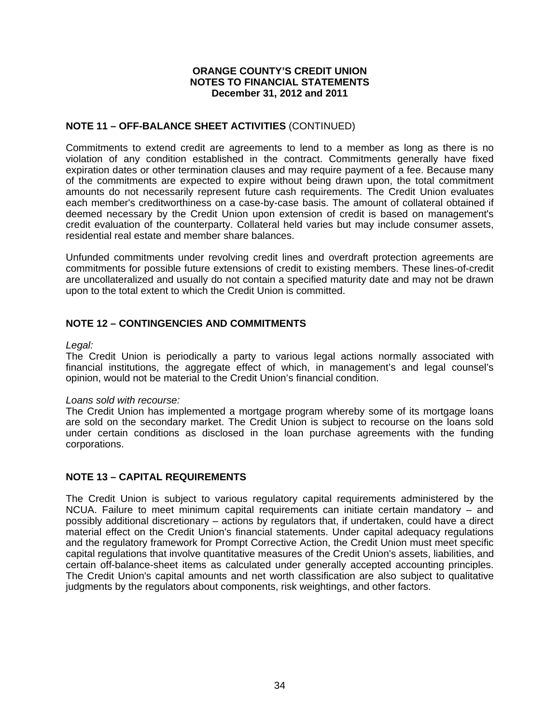## **NOTE 11 – OFF-BALANCE SHEET ACTIVITIES** (CONTINUED)

Commitments to extend credit are agreements to lend to a member as long as there is no violation of any condition established in the contract. Commitments generally have fixed expiration dates or other termination clauses and may require payment of a fee. Because many of the commitments are expected to expire without being drawn upon, the total commitment amounts do not necessarily represent future cash requirements. The Credit Union evaluates each member's creditworthiness on a case-by-case basis. The amount of collateral obtained if deemed necessary by the Credit Union upon extension of credit is based on management's credit evaluation of the counterparty. Collateral held varies but may include consumer assets, residential real estate and member share balances.

Unfunded commitments under revolving credit lines and overdraft protection agreements are commitments for possible future extensions of credit to existing members. These lines-of-credit are uncollateralized and usually do not contain a specified maturity date and may not be drawn upon to the total extent to which the Credit Union is committed.

## **NOTE 12 – CONTINGENCIES AND COMMITMENTS**

#### *Legal:*

The Credit Union is periodically a party to various legal actions normally associated with financial institutions, the aggregate effect of which, in management's and legal counsel's opinion, would not be material to the Credit Union's financial condition.

#### *Loans sold with recourse:*

The Credit Union has implemented a mortgage program whereby some of its mortgage loans are sold on the secondary market. The Credit Union is subject to recourse on the loans sold under certain conditions as disclosed in the loan purchase agreements with the funding corporations.

#### **NOTE 13 – CAPITAL REQUIREMENTS**

The Credit Union is subject to various regulatory capital requirements administered by the NCUA. Failure to meet minimum capital requirements can initiate certain mandatory – and possibly additional discretionary – actions by regulators that, if undertaken, could have a direct material effect on the Credit Union's financial statements. Under capital adequacy regulations and the regulatory framework for Prompt Corrective Action, the Credit Union must meet specific capital regulations that involve quantitative measures of the Credit Union's assets, liabilities, and certain off-balance-sheet items as calculated under generally accepted accounting principles. The Credit Union's capital amounts and net worth classification are also subject to qualitative judgments by the regulators about components, risk weightings, and other factors.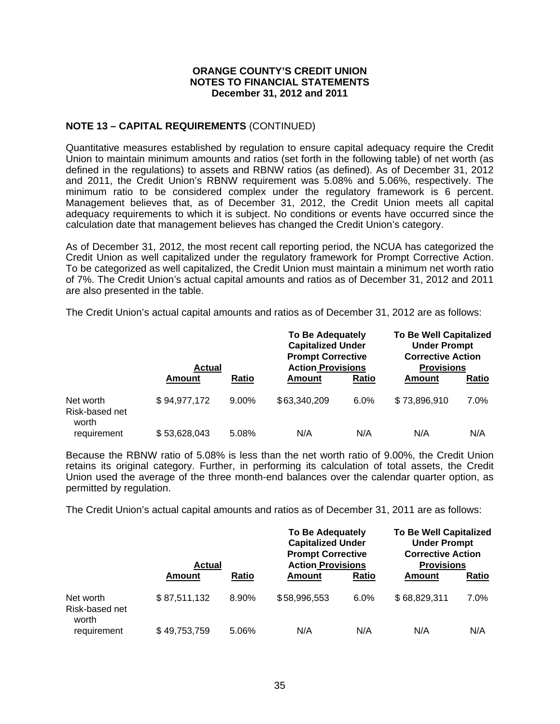## **NOTE 13 – CAPITAL REQUIREMENTS** (CONTINUED)

Quantitative measures established by regulation to ensure capital adequacy require the Credit Union to maintain minimum amounts and ratios (set forth in the following table) of net worth (as defined in the regulations) to assets and RBNW ratios (as defined). As of December 31, 2012 and 2011, the Credit Union's RBNW requirement was 5.08% and 5.06%, respectively. The minimum ratio to be considered complex under the regulatory framework is 6 percent. Management believes that, as of December 31, 2012, the Credit Union meets all capital adequacy requirements to which it is subject. No conditions or events have occurred since the calculation date that management believes has changed the Credit Union's category.

As of December 31, 2012, the most recent call reporting period, the NCUA has categorized the Credit Union as well capitalized under the regulatory framework for Prompt Corrective Action. To be categorized as well capitalized, the Credit Union must maintain a minimum net worth ratio of 7%. The Credit Union's actual capital amounts and ratios as of December 31, 2012 and 2011 are also presented in the table.

The Credit Union's actual capital amounts and ratios as of December 31, 2012 are as follows:

|                                      | <b>Actual</b> |              | <b>To Be Adequately</b><br><b>Capitalized Under</b><br><b>Prompt Corrective</b><br><b>Action Provisions</b> |       | <b>To Be Well Capitalized</b><br><b>Under Prompt</b><br><b>Corrective Action</b><br><b>Provisions</b> |              |
|--------------------------------------|---------------|--------------|-------------------------------------------------------------------------------------------------------------|-------|-------------------------------------------------------------------------------------------------------|--------------|
|                                      | Amount        | <b>Ratio</b> | Amount                                                                                                      | Ratio | Amount                                                                                                | <b>Ratio</b> |
| Net worth<br>Risk-based net<br>worth | \$94,977,172  | $9.00\%$     | \$63,340,209                                                                                                | 6.0%  | \$73,896,910                                                                                          | 7.0%         |
| requirement                          | \$53,628,043  | 5.08%        | N/A                                                                                                         | N/A   | N/A                                                                                                   | N/A          |

Because the RBNW ratio of 5.08% is less than the net worth ratio of 9.00%, the Credit Union retains its original category. Further, in performing its calculation of total assets, the Credit Union used the average of the three month-end balances over the calendar quarter option, as permitted by regulation.

The Credit Union's actual capital amounts and ratios as of December 31, 2011 are as follows:

|                                      | <b>Actual</b> |       | <b>To Be Adequately</b><br><b>Capitalized Under</b><br><b>Prompt Corrective</b><br><b>Action Provisions</b> |       | <b>To Be Well Capitalized</b><br><b>Under Prompt</b><br><b>Corrective Action</b><br><b>Provisions</b> |       |
|--------------------------------------|---------------|-------|-------------------------------------------------------------------------------------------------------------|-------|-------------------------------------------------------------------------------------------------------|-------|
|                                      | Amount        | Ratio | Amount                                                                                                      | Ratio | Amount                                                                                                | Ratio |
| Net worth<br>Risk-based net<br>worth | \$87,511,132  | 8.90% | \$58,996,553                                                                                                | 6.0%  | \$68,829,311                                                                                          | 7.0%  |
| requirement                          | \$49,753,759  | 5.06% | N/A                                                                                                         | N/A   | N/A                                                                                                   | N/A   |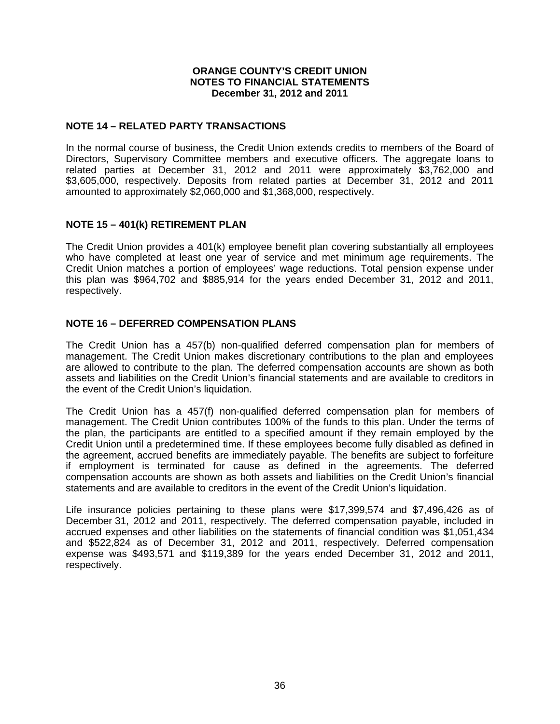### **NOTE 14 – RELATED PARTY TRANSACTIONS**

In the normal course of business, the Credit Union extends credits to members of the Board of Directors, Supervisory Committee members and executive officers. The aggregate loans to related parties at December 31, 2012 and 2011 were approximately \$3,762,000 and \$3,605,000, respectively. Deposits from related parties at December 31, 2012 and 2011 amounted to approximately \$2,060,000 and \$1,368,000, respectively.

## **NOTE 15 – 401(k) RETIREMENT PLAN**

The Credit Union provides a 401(k) employee benefit plan covering substantially all employees who have completed at least one year of service and met minimum age requirements. The Credit Union matches a portion of employees' wage reductions. Total pension expense under this plan was \$964,702 and \$885,914 for the years ended December 31, 2012 and 2011, respectively.

## **NOTE 16 – DEFERRED COMPENSATION PLANS**

The Credit Union has a 457(b) non-qualified deferred compensation plan for members of management. The Credit Union makes discretionary contributions to the plan and employees are allowed to contribute to the plan. The deferred compensation accounts are shown as both assets and liabilities on the Credit Union's financial statements and are available to creditors in the event of the Credit Union's liquidation.

The Credit Union has a 457(f) non-qualified deferred compensation plan for members of management. The Credit Union contributes 100% of the funds to this plan. Under the terms of the plan, the participants are entitled to a specified amount if they remain employed by the Credit Union until a predetermined time. If these employees become fully disabled as defined in the agreement, accrued benefits are immediately payable. The benefits are subject to forfeiture if employment is terminated for cause as defined in the agreements. The deferred compensation accounts are shown as both assets and liabilities on the Credit Union's financial statements and are available to creditors in the event of the Credit Union's liquidation.

Life insurance policies pertaining to these plans were \$17,399,574 and \$7,496,426 as of December 31, 2012 and 2011, respectively. The deferred compensation payable, included in accrued expenses and other liabilities on the statements of financial condition was \$1,051,434 and \$522,824 as of December 31, 2012 and 2011, respectively. Deferred compensation expense was \$493,571 and \$119,389 for the years ended December 31, 2012 and 2011, respectively.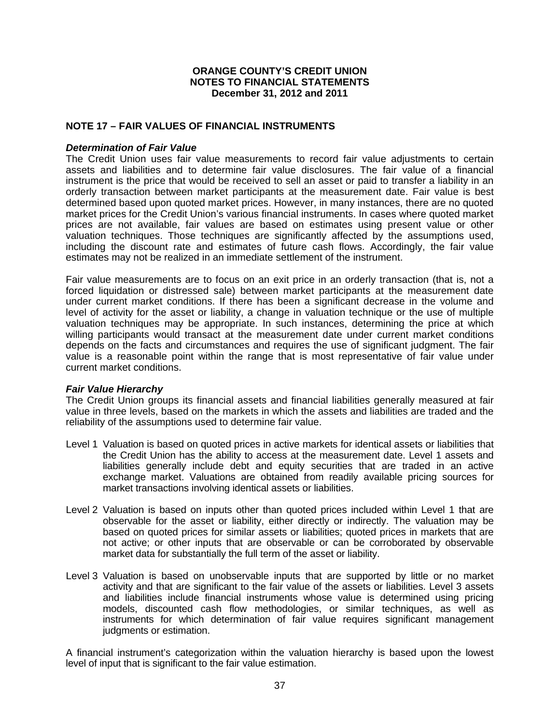#### **NOTE 17 – FAIR VALUES OF FINANCIAL INSTRUMENTS**

#### *Determination of Fair Value*

The Credit Union uses fair value measurements to record fair value adjustments to certain assets and liabilities and to determine fair value disclosures. The fair value of a financial instrument is the price that would be received to sell an asset or paid to transfer a liability in an orderly transaction between market participants at the measurement date. Fair value is best determined based upon quoted market prices. However, in many instances, there are no quoted market prices for the Credit Union's various financial instruments. In cases where quoted market prices are not available, fair values are based on estimates using present value or other valuation techniques. Those techniques are significantly affected by the assumptions used, including the discount rate and estimates of future cash flows. Accordingly, the fair value estimates may not be realized in an immediate settlement of the instrument.

Fair value measurements are to focus on an exit price in an orderly transaction (that is, not a forced liquidation or distressed sale) between market participants at the measurement date under current market conditions. If there has been a significant decrease in the volume and level of activity for the asset or liability, a change in valuation technique or the use of multiple valuation techniques may be appropriate. In such instances, determining the price at which willing participants would transact at the measurement date under current market conditions depends on the facts and circumstances and requires the use of significant judgment. The fair value is a reasonable point within the range that is most representative of fair value under current market conditions.

#### *Fair Value Hierarchy*

The Credit Union groups its financial assets and financial liabilities generally measured at fair value in three levels, based on the markets in which the assets and liabilities are traded and the reliability of the assumptions used to determine fair value.

- Level 1 Valuation is based on quoted prices in active markets for identical assets or liabilities that the Credit Union has the ability to access at the measurement date. Level 1 assets and liabilities generally include debt and equity securities that are traded in an active exchange market. Valuations are obtained from readily available pricing sources for market transactions involving identical assets or liabilities.
- Level 2 Valuation is based on inputs other than quoted prices included within Level 1 that are observable for the asset or liability, either directly or indirectly. The valuation may be based on quoted prices for similar assets or liabilities; quoted prices in markets that are not active; or other inputs that are observable or can be corroborated by observable market data for substantially the full term of the asset or liability.
- Level 3 Valuation is based on unobservable inputs that are supported by little or no market activity and that are significant to the fair value of the assets or liabilities. Level 3 assets and liabilities include financial instruments whose value is determined using pricing models, discounted cash flow methodologies, or similar techniques, as well as instruments for which determination of fair value requires significant management judgments or estimation.

A financial instrument's categorization within the valuation hierarchy is based upon the lowest level of input that is significant to the fair value estimation.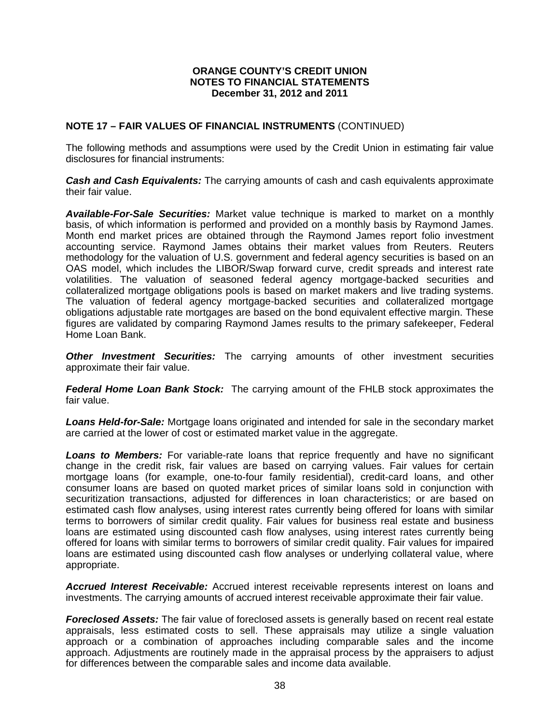## **NOTE 17 – FAIR VALUES OF FINANCIAL INSTRUMENTS** (CONTINUED)

The following methods and assumptions were used by the Credit Union in estimating fair value disclosures for financial instruments:

*Cash and Cash Equivalents:* The carrying amounts of cash and cash equivalents approximate their fair value.

*Available-For-Sale Securities:* Market value technique is marked to market on a monthly basis, of which information is performed and provided on a monthly basis by Raymond James. Month end market prices are obtained through the Raymond James report folio investment accounting service. Raymond James obtains their market values from Reuters. Reuters methodology for the valuation of U.S. government and federal agency securities is based on an OAS model, which includes the LIBOR/Swap forward curve, credit spreads and interest rate volatilities. The valuation of seasoned federal agency mortgage-backed securities and collateralized mortgage obligations pools is based on market makers and live trading systems. The valuation of federal agency mortgage-backed securities and collateralized mortgage obligations adjustable rate mortgages are based on the bond equivalent effective margin. These figures are validated by comparing Raymond James results to the primary safekeeper, Federal Home Loan Bank.

**Other Investment Securities:** The carrying amounts of other investment securities approximate their fair value.

*Federal Home Loan Bank Stock:* The carrying amount of the FHLB stock approximates the fair value.

*Loans Held-for-Sale:* Mortgage loans originated and intended for sale in the secondary market are carried at the lower of cost or estimated market value in the aggregate.

**Loans to Members:** For variable-rate loans that reprice frequently and have no significant change in the credit risk, fair values are based on carrying values. Fair values for certain mortgage loans (for example, one-to-four family residential), credit-card loans, and other consumer loans are based on quoted market prices of similar loans sold in conjunction with securitization transactions, adjusted for differences in loan characteristics; or are based on estimated cash flow analyses, using interest rates currently being offered for loans with similar terms to borrowers of similar credit quality. Fair values for business real estate and business loans are estimated using discounted cash flow analyses, using interest rates currently being offered for loans with similar terms to borrowers of similar credit quality. Fair values for impaired loans are estimated using discounted cash flow analyses or underlying collateral value, where appropriate.

*Accrued Interest Receivable:* Accrued interest receivable represents interest on loans and investments. The carrying amounts of accrued interest receivable approximate their fair value.

*Foreclosed Assets:* The fair value of foreclosed assets is generally based on recent real estate appraisals, less estimated costs to sell. These appraisals may utilize a single valuation approach or a combination of approaches including comparable sales and the income approach. Adjustments are routinely made in the appraisal process by the appraisers to adjust for differences between the comparable sales and income data available.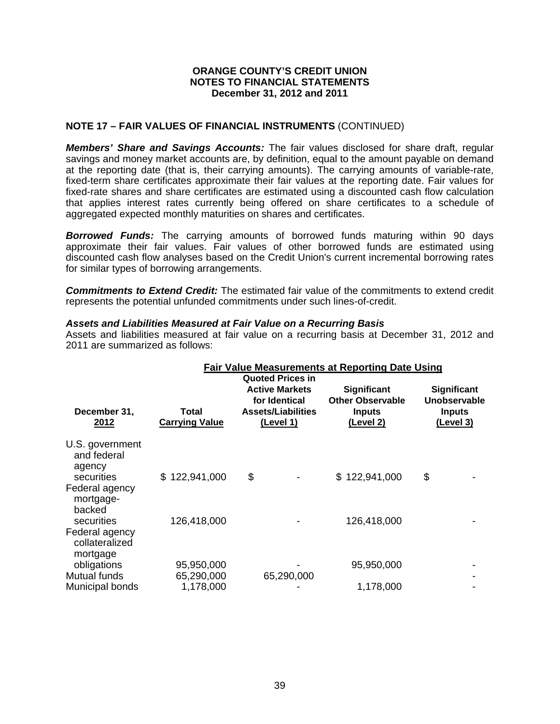## **NOTE 17 – FAIR VALUES OF FINANCIAL INSTRUMENTS** (CONTINUED)

*Members' Share and Savings Accounts:* The fair values disclosed for share draft, regular savings and money market accounts are, by definition, equal to the amount payable on demand at the reporting date (that is, their carrying amounts). The carrying amounts of variable-rate, fixed-term share certificates approximate their fair values at the reporting date. Fair values for fixed-rate shares and share certificates are estimated using a discounted cash flow calculation that applies interest rates currently being offered on share certificates to a schedule of aggregated expected monthly maturities on shares and certificates.

*Borrowed Funds:* The carrying amounts of borrowed funds maturing within 90 days approximate their fair values. Fair values of other borrowed funds are estimated using discounted cash flow analyses based on the Credit Union's current incremental borrowing rates for similar types of borrowing arrangements.

*Commitments to Extend Credit:* The estimated fair value of the commitments to extend credit represents the potential unfunded commitments under such lines-of-credit.

#### *Assets and Liabilities Measured at Fair Value on a Recurring Basis*

Assets and liabilities measured at fair value on a recurring basis at December 31, 2012 and 2011 are summarized as follows:

| Total<br><b>Carrying Value</b> | <u>(Level 1)</u> | <b>Significant</b><br><b>Other Observable</b><br><b>Inputs</b><br>(Level 2) | Significant<br>Unobservable<br><b>Inputs</b><br><u>(Level 3)</u>                                                                                                                    |
|--------------------------------|------------------|-----------------------------------------------------------------------------|-------------------------------------------------------------------------------------------------------------------------------------------------------------------------------------|
| \$122,941,000                  | \$               | \$122,941,000                                                               | \$                                                                                                                                                                                  |
| 126,418,000                    |                  | 126,418,000                                                                 |                                                                                                                                                                                     |
| 95,950,000<br>65,290,000       |                  | 95,950,000                                                                  |                                                                                                                                                                                     |
|                                | 1,178,000        |                                                                             | <b>Fair Value Measurements at Reporting Date Using</b><br><b>Quoted Prices in</b><br><b>Active Markets</b><br>for Identical<br><b>Assets/Liabilities</b><br>65,290,000<br>1,178,000 |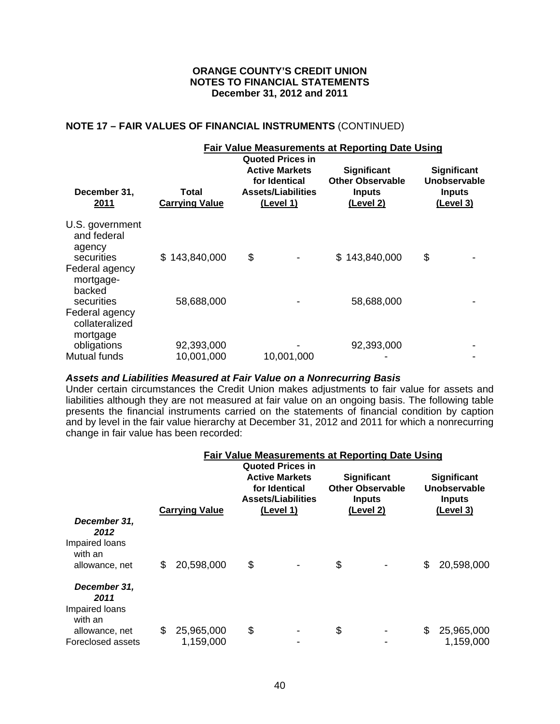## **NOTE 17 – FAIR VALUES OF FINANCIAL INSTRUMENTS** (CONTINUED)

|                                                                             |                                |                                                                                                                    | <b>Fair Value Measurements at Reporting Date Using</b>                             |                                                                  |
|-----------------------------------------------------------------------------|--------------------------------|--------------------------------------------------------------------------------------------------------------------|------------------------------------------------------------------------------------|------------------------------------------------------------------|
| December 31,<br>2011                                                        | Total<br><b>Carrying Value</b> | <b>Quoted Prices in</b><br><b>Active Markets</b><br>for Identical<br><b>Assets/Liabilities</b><br><u>(Level 1)</u> | <b>Significant</b><br><b>Other Observable</b><br><b>Inputs</b><br><u>(Level 2)</u> | Significant<br>Unobservable<br><b>Inputs</b><br><u>(Level 3)</u> |
| U.S. government<br>and federal<br>agency<br>securities<br>Federal agency    | \$143,840,000                  | \$                                                                                                                 | \$143,840,000                                                                      | \$                                                               |
| mortgage-<br>backed<br>securities                                           | 58,688,000                     |                                                                                                                    | 58,688,000                                                                         |                                                                  |
| Federal agency<br>collateralized<br>mortgage<br>obligations<br>Mutual funds | 92,393,000<br>10,001,000       | 10,001,000                                                                                                         | 92,393,000                                                                         |                                                                  |

#### *Assets and Liabilities Measured at Fair Value on a Nonrecurring Basis*

Under certain circumstances the Credit Union makes adjustments to fair value for assets and liabilities although they are not measured at fair value on an ongoing basis. The following table presents the financial instruments carried on the statements of financial condition by caption and by level in the fair value hierarchy at December 31, 2012 and 2011 for which a nonrecurring change in fair value has been recorded:

|                                                                     |    |                         |                                                                                                             | <b>Fair Value Measurements at Reporting Date Using</b>                      |                                                           |
|---------------------------------------------------------------------|----|-------------------------|-------------------------------------------------------------------------------------------------------------|-----------------------------------------------------------------------------|-----------------------------------------------------------|
|                                                                     |    | <b>Carrying Value</b>   | <b>Quoted Prices in</b><br><b>Active Markets</b><br>for Identical<br><b>Assets/Liabilities</b><br>(Level 1) | <b>Significant</b><br><b>Other Observable</b><br><b>Inputs</b><br>(Level 2) | Significant<br>Unobservable<br><b>Inputs</b><br>(Level 3) |
| December 31,<br>2012<br>Impaired loans<br>with an<br>allowance, net | S  | 20,598,000              | \$                                                                                                          | \$                                                                          | \$<br>20,598,000                                          |
| December 31,<br>2011<br>Impaired loans<br>with an                   |    |                         |                                                                                                             |                                                                             |                                                           |
| allowance, net<br>Foreclosed assets                                 | \$ | 25,965,000<br>1,159,000 | \$                                                                                                          | \$                                                                          | \$<br>25,965,000<br>1,159,000                             |